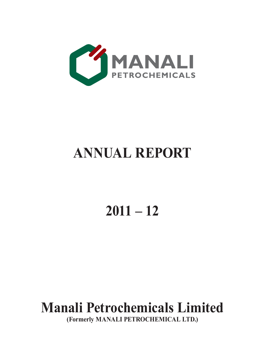

# **ANNUAL REPORT**

# **2011 – 12**

# **Manali Petrochemicals Limited**

**(Formerly MANALI PETROCHEMICAL LTD.)**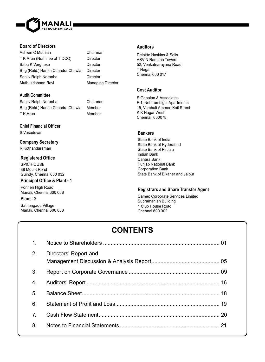

## **Board of Directors**

Ashwin C Muthiah Chairman T K Arun (Nominee of TIDCO) Director Babu K Verghese Director Brig (Retd.) Harish Chandra Chawla Director Sanjiv Ralph Noronha<br>
Director Muthukrishnan Ravi Managing Director

## **Audit Committee**

Sanjiv Ralph Noronha Chairman Brig (Retd.) Harish Chandra Chawla Member T K Arun Member

## **Chief Financial Officer**

S Vasudevan

**Company Secretary** R Kothandaraman

## **Registered Office**

SPIC HOUSE 88 Mount Road Guindy, Chennai 600 032

## **Principal Office & Plant - 1**

Ponneri High Road Manali, Chennai 600 068

## **Plant - 2**

Sathangadu Village Manali, Chennai 600 068

## **Auditors**

Deloitte Haskins & Sells ASV N Ramana Towers 52, Venkatnarayana Road T Nagar Chennai 600 017

## **Cost Auditor**

S Gopalan & Associates F-1, Nethrambigai Apartments 15, Vembuli Amman Koil Street K K Nagar West Chennai 600078

## **Bankers**

State Bank of India State Bank of Hyderabad State Bank of Patiala Indian Bank Canara Bank Punjab National Bank Corporation Bank State Bank of Bikaner and Jaipur

## **Registrars and Share Transfer Agent**

Cameo Corporate Services Limited Subramanian Building 1 Club House Road Chennai 600 002

# **CONTENTS**

| 1.             |                       |  |
|----------------|-----------------------|--|
| 2.             | Directors' Report and |  |
| 3.             |                       |  |
| 4.             |                       |  |
| -5.            |                       |  |
| 6.             |                       |  |
| 7 <sub>1</sub> |                       |  |
| 8.             |                       |  |
|                |                       |  |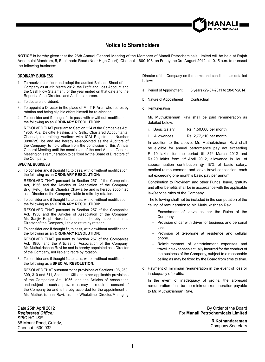

# **Notice to Shareholders**

**NOTICE** is hereby given that the 26th Annual General Meeting of the Members of Manali Petrochemicals Limited will be held at Rajah Annamalai Mandram, 5, Esplanade Road (Near High Court), Chennai – 600 108, on Friday the 3rd August 2012 at 10.15 a.m. to transact the following business:

#### **ORDINARY BUSINESS**

- 1. To receive, consider and adopt the audited Balance Sheet of the Company as at 31<sup>st</sup> March 2012, the Profit and Loss Account and the Cash Flow Statement for the year ended on that date and the Reports of the Directors and Auditors thereon.
- 2. To declare a dividend.
- 3. To appoint a Director in the place of Mr. T K Arun who retires by rotation and being eligible offers himself for re-election.
- 4. To consider and if thought fit, to pass, with or without modification, the following as an **ORDINARY RESOLUTION:**

 RESOLVED THAT pursuant to Section 224 of the Companies Act, 1956, M/s. Deloitte Haskins and Sells, Chartered Accountants, Chennai, the retiring Auditors with ICAI Registration Number 008072S, be and are hereby re-appointed as the Auditors of the Company, to hold office from the conclusion of this Annual General Meeting until the conclusion of the next Annual General Meeting on a remuneration to be fixed by the Board of Directors of the Company.

#### **SPECIAL BUSINESS**

5. To consider and if thought fit, to pass, with or without modification, the following as an **ORDINARY RESOLUTION:**

 RESOLVED THAT pursuant to Section 257 of the Companies Act, 1956 and the Articles of Association of the Company, Brig (Retd.) Harish Chandra Chawla be and is hereby appointed as a Director of the Company, liable to retire by rotation.

6. To consider and if thought fit, to pass, with or without modification, the following as an **ORDINARY RESOLUTION:**

 RESOLVED THAT pursuant to Section 257 of the Companies Act, 1956 and the Articles of Association of the Company, Mr. Saniiv Ralph Noronha be and is hereby appointed as a Director of the Company, liable to retire by rotation.

7. To consider and if thought fit, to pass, with or without modification, the following as an **ORDINARY RESOLUTION:** RESOLVED THAT pursuant to Section 257 of the Companies

Act, 1956, and the Articles of Association of the Company, Mr. Muthukrishnan Ravi be and is hereby appointed as a Director of the Company, not liable to retire by rotation.

8. To consider and if thought fit, to pass, with or without modification, the following as a **SPECIAL RESOLUTION:**

 RESOLVED THAT pursuant to the provisions of Sections 198, 269, 309, 310 and 311, Schedule XIII and other applicable provisions of the Companies Act, 1956, and the Articles of Association and subject to such approvals as may be required, consent of the Company be and is hereby accorded for the appointment of Mr. Muthukrishnan Ravi, as the Wholetime Director/Managing

Date 25th April 2012 *Registered Of¿ ce:* SPIC HOUSE 88 Mount Road, Guindy, Chennai - 600 032.

Director of the Company on the terms and conditions as detailed below:

- a Period of Appointment 3 years (29-07-2011 to 28-07-2014)
- b Nature of Appointment Contractual
- c Remuneration

Mr. Muthukrishnan Ravi shall be paid remuneration as detailed below:

- i. Basic Salary Rs. 1,50,000 per month
- ii. Allowances Rs. 2,77,310 per month

In addition to the above, Mr. Muthukrishnan Ravi shall be eligible for annual performance pay not exceeding Rs.10 lakhs for the period till 31<sup>st</sup> March 2012 and Rs.20 lakhs from 1<sup>st</sup> April 2012, allowance in lieu of superannuation contribution @ 15% of basic salary, medical reimbursement and leave travel concession, each not exceeding one month's basic pay per annum.

Contribution to Provident and other Funds, leave, gratuity and other benefits shall be in accordance with the applicable law/service rules of the Company.

The following shall not be included in the computation of the ceiling of remuneration to Mr. Muthukrishnan Ravi:

- Encashment of leave as per the Rules of the Company.
- Provision of car with driver for business and personal use.
- Provision of telephone at residence and cellular phone.
- Reimbursement of entertainment expenses and travelling expenses actually incurred for the conduct of the business of the Company, subject to a reasonable ceiling as may be fixed by the Board from time to time.
- d Payment of minimum remuneration in the event of loss or inadequacy of profits:

In the event of inadequacy of profits, the aforesaid remuneration shall be the minimum remuneration payable to Mr. Muthukrishnan Ravi.

> By Order of the Board For **Manali Petrochemicals Limited**

> > **R Kothandaraman** Company Secretary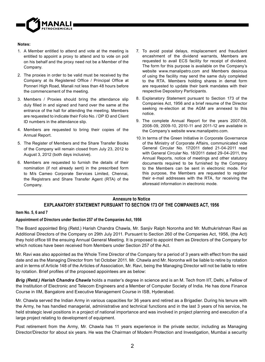

#### **Notes:**

- 1. A Member entitled to attend and vote at the meeting is entitled to appoint a proxy to attend and to vote on poll on his behalf and the proxy need not be a Member of the Company.
- 2. The proxies in order to be valid must be received by the Company at its Registered Office / Principal Office at Ponneri High Road, Manali not less than 48 hours before the commencement of the meeting.
- 3. Members / Proxies should bring the attendance slip duly filled in and signed and hand over the same at the entrance of the hall for attending the meeting. Members are requested to indicate their Folio No. / DP ID and Client ID numbers in the attendance slip.
- 4. Members are requested to bring their copies of the Annual Report.
- 5. The Register of Members and the Share Transfer Books of the Company will remain closed from July 23, 2012 to August 3, 2012 (both days inclusive).
- 6. Members are requested to furnish the details of their nomination (if not already sent) in the prescribed form to M/s Cameo Corporate Services Limited, Chennai, the Registrars and Share Transfer Agent (RTA) of the Company.
- 7. To avoid postal delays, misplacement and fraudulent encashment of the dividend warrants, Members are requested to avail ECS facility for receipt of dividend. The form for this purpose is available on the Company's website www.manalipetro.com and Members desirous of using the facility may send the same duly completed to the RTA. Members holding shares in demat form are requested to update their bank mandates with their respective Depository Participants.
- 8. Explanatory Statement pursuant to Section 173 of the Companies Act, 1956 and a brief resume of the Director seeking re-election at the AGM are annexed to this notice.
- 9. The complete Annual Report for the years 2007-08, 2008-09, 2009-10, 2010-11 and 2011-12 are available in the Company's website www.manalipetro.com.
- 10. In terms of the Green Initiative in Corporate Governance of the Ministry of Corporate Affairs, communicated vide General Circular No. 17/2011 dated 21-04-2011 read with General Circular No. 18/2011 dated 29-04-2011, the Annual Reports, notice of meetings and other statutory documents required to be furnished by the Company to the Members can be sent in electronic mode. For this purpose, the Members are requested to register their e-mail addresses with the RTA, for receiving the aforesaid information in electronic mode.

## **Annexure to Notice EXPLANATORY STATEMENT PURSUANT TO SECTION 173 OF THE COMPANIES ACT, 1956**

## **Item No. 5, 6 and 7**

## **Appointment of Directors under Section 257 of the Companies Act, 1956**

The Board appointed Brig (Retd.) Harish Chandra Chawla, Mr. Sanjiv Ralph Noronha and Mr. Muthukrishnan Ravi as Additional Directors of the Company on 29th July 2011. Pursuant to Section 260 of the Companies Act, 1956, (the Act) they hold office till the ensuing Annual General Meeting. It is proposed to appoint them as Directors of the Company for which notices have been received from Members under Section 257 of the Act.

Mr. Ravi was also appointed as the Whole Time Director of the Company for a period of 3 years with effect from the said date and as the Managing Director from 1st October 2011. Mr. Chawla and Mr. Noronha will be liable to retire by rotation and in terms of Article 148 of the Articles of Association, Mr. Ravi, being the Managing Director will not be liable to retire by rotation. Brief profiles of the proposed appointees are as below:

*Brig (Retd.) Harish Chandra Chawla* holds a master's degree in science and is an M. Tech from IIT, Delhi, a Fellow of the Institution of Electronic and Telecom Engineers and a Member of Computer Society of India. He has done Finance Course in IIM, Bangalore and Executive Management Course in ISB, Hyderabad.

Mr. Chawla served the Indian Army in various capacities for 36 years and retired as a Brigadier. During his tenure with the Army, he has handled managerial, administrative and technical functions and in the last 3 years of his service, he held strategic level positions in a project of national importance and was involved in project planning and execution of a large project relating to development of equipment.

Post retirement from the Army, Mr. Chawla has 11 years experience in the private sector, including as Managing Director/Director for about six years. He was the Chairman of Modern Protection and Investigation, Mumbai a security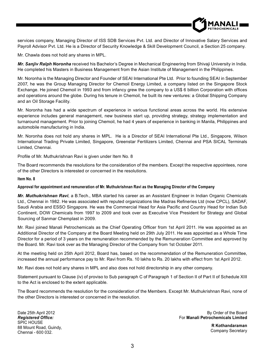

services company, Managing Director of ISS SDB Services Pvt. Ltd. and Director of Innovative Salary Services and Payroll Advisor Pvt. Ltd. He is a Director of Security Knowledge & Skill Development Council, a Section 25 company.

Mr. Chawla does not hold any shares in MPL.

*Mr. Sanjiv Ralph Noronha* received his Bachelor's Degree in Mechanical Engineering from Shivaji University in India. He completed his Masters in Business Management from the Asian Institute of Management in the Philippines.

Mr. Noronha is the Managing Director and Founder of SEAI International Pte Ltd. Prior to founding SEAI in September 2007, he was the Group Managing Director for Chemoil Energy Limited, a company listed on the Singapore Stock Exchange. He joined Chemoil in 1993 and from infancy grew the company to a US\$ 6 billion Corporation with offices and operations around the globe. During his tenure in Chemoil, he built its new ventures: a Global Shipping Company and an Oil Storage Facility.

Mr. Noronha has had a wide spectrum of experience in various functional areas across the world. His extensive experience includes general management, new business start up, providing strategy, strategy implementation and turnaround management. Prior to joining Chemoil, he had 4 years of experience in banking in Manila, Philippines and automobile manufacturing in India.

Mr. Noronha does not hold any shares in MPL. He is a Director of SEAI International Pte Ltd., Singapore, Wilson International Trading Private Limited, Singapore, Greenstar Fertilizers Limited, Chennai and PSA SICAL Terminals Limited, Chennai.

Profile of Mr. Muthukrishnan Ravi is given under Item No. 8

The Board recommends the resolutions for the consideration of the members. Except the respective appointees, none of the other Directors is interested or concerned in the resolutions.

#### **Item No. 8**

## **Approval for appointment and remuneration of Mr. Muthukrishnan Ravi as the Managing Director of the Company**

*Mr. Muthukrishnan Ravi*, a B.Tech., MBA started his career as an Assistant Engineer in Indian Organic Chemicals Ltd., Chennai in 1982. He was associated with reputed organizations like Madras Refineries Ltd (now CPCL), SADAF, Saudi Arabia and ESSO Singapore. He was the Commercial Head for Asia Pacific and Country Head for Indian Sub Continent, DOW Chemicals from 1997 to 2009 and took over as Executive Vice President for Strategy and Global Sourcing of Sanmar Chemplast in 2009.

Mr. Ravi joined Manali Petrochemicals as the Chief Operating Officer from 1st April 2011. He was appointed as an Additional Director of the Company at the Board Meeting held on 29th July 2011. He was appointed as a Whole Time Director for a period of 3 years on the remuneration recommended by the Remuneration Committee and approved by the Board. Mr. Ravi took over as the Managing Director of the Company from 1st October 2011.

At the meeting held on 25th April 2012, Board has, based on the recommendation of the Remuneration Committee, increased the annual performance pay to Mr. Ravi from Rs. 10 lakhs to Rs. 20 lakhs with effect from 1st April 2012.

Mr. Ravi does not hold any shares in MPL and also does not hold directorship in any other company.

Statement pursuant to Clause (iv) of proviso to Sub paragraph C of Paragraph 1 of Section II of Part II of Schedule XIII to the Act is enclosed to the extent applicable.

The Board recommends the resolution for the consideration of the Members. Except Mr. Muthukrishnan Ravi, none of the other Directors is interested or concerned in the resolution.

Date 25th April 2012 *Registered Of¿ ce:* SPIC HOUSE 88 Mount Road, Guindy, Chennai - 600 032.

By Order of the Board For **Manali Petrochemicals Limited**

> **R Kothandaraman** Company Secretary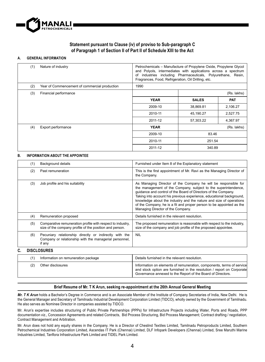

## **Statement pursuant to Clause (iv) of proviso to Sub-paragraph C of Paragraph 1 of Section II of Part II of Schedule XIII to the Act**

#### **A. GENERAL INFORMATION**

| (1) | Nature of industry                            | Petrochemicals - Manufacture of Propylene Oxide, Propylene Glycol<br>and Polyols, intermediates with applications across a spectrum<br>industries including Pharmaceuticals, Polyurethane, Resin,<br>of<br>Fragrances, Food, Refrigeration, Oil Drilling, etc. |              |             |
|-----|-----------------------------------------------|----------------------------------------------------------------------------------------------------------------------------------------------------------------------------------------------------------------------------------------------------------------|--------------|-------------|
| (2) | Year of Commencement of commercial production | 1990                                                                                                                                                                                                                                                           |              |             |
| (3) | Financial performance                         |                                                                                                                                                                                                                                                                |              | (Rs. lakhs) |
|     |                                               | <b>YEAR</b>                                                                                                                                                                                                                                                    | <b>SALES</b> | PAT         |
|     |                                               | 2009-10                                                                                                                                                                                                                                                        | 38,869.81    | 2,106.27    |
|     |                                               | 2010-11                                                                                                                                                                                                                                                        | 45,190.27    | 2,527.75    |
|     |                                               | 2011-12                                                                                                                                                                                                                                                        | 57,303.22    | 4,367.97    |
| (4) | Export performance                            | <b>YEAR</b>                                                                                                                                                                                                                                                    |              | (Rs. lakhs) |
|     |                                               | 2009-10                                                                                                                                                                                                                                                        | 83.46        |             |
|     |                                               | 2010-11                                                                                                                                                                                                                                                        | 251.54       |             |
|     |                                               | 2011-12                                                                                                                                                                                                                                                        | 340.89       |             |

#### **B. INFORMATION ABOUT THE APPOINTEE**

|    | (1) | Background details                                                                                                         | Furnished under Item 8 of the Explanatory statement                                                                                                                                                                                                                                                                                                                                                                                                           |
|----|-----|----------------------------------------------------------------------------------------------------------------------------|---------------------------------------------------------------------------------------------------------------------------------------------------------------------------------------------------------------------------------------------------------------------------------------------------------------------------------------------------------------------------------------------------------------------------------------------------------------|
|    | (2) | Past remuneration                                                                                                          | This is the first appointment of Mr. Ravi as the Managing Director of<br>the Company.                                                                                                                                                                                                                                                                                                                                                                         |
|    | (3) | Job profile and his suitability                                                                                            | As Managing Director of the Company he will be responsible for<br>the management of the Company, subject to the superintendence,<br>quidance and control of the Board of Directors of the Company.<br>Taking into account his previous experience, educational background,<br>knowledge about the industry and the nature and size of operations<br>of the Company, he is a fit and proper person to be appointed as the<br>Managing Director of the Company. |
|    | (4) | Remuneration proposed                                                                                                      | Details furnished in the relevant resolution.                                                                                                                                                                                                                                                                                                                                                                                                                 |
|    | (5) | Comparative remuneration profile with respect to industry,<br>size of the company profile of the position and person.      | The proposed remuneration is reasonable with respect to the industry.<br>size of the company and job profile of the proposed appointee.                                                                                                                                                                                                                                                                                                                       |
|    | (6) | Pecuniary relationship directly or indirectly with the<br>Company or relationship with the managerial personnel,<br>if any | <b>NIL</b>                                                                                                                                                                                                                                                                                                                                                                                                                                                    |
| C. |     | <b>DISCLOSURES</b>                                                                                                         |                                                                                                                                                                                                                                                                                                                                                                                                                                                               |
|    | (1) | Information on remuneration package                                                                                        | Details furnished in the relevant resolution.                                                                                                                                                                                                                                                                                                                                                                                                                 |
|    | (2) | Other disclosures                                                                                                          | Information on elements of remuneration, components, terms of service                                                                                                                                                                                                                                                                                                                                                                                         |

#### **Brief Resume of Mr. T K Arun, seeking re-appointment at the 26th Annual General Meeting**

and stock option are furnished in the resolution / report on Corporate Governance annexed to the Report of the Board of Directors.

*Mr. T K Arun* holds a Bachelor's Degree in Commerce and is an Associate Member of the Institute of Company Secretaries of India, New Delhi. He is the General Manager and Secretary of Tamilnadu Industrial Development Corporation Limited (TIDCO), wholly owned by the Government of Tamilnadu. He also serves as Nominee Director in companies assisted by TIDCO.

Mr. Arun's expertise includes structuring of Public Private Partnerships (PPPs) for Infrastructure Projects including Water, Ports and Roads, PPP documentation viz., Concession Agreements and related Contracts, Bid Process Structuring, Bid Process Management; Contract drafting / negotiation, Contract Management and Arbitration.

Mr. Arun does not hold any equity shares in the Company. He is a Director of Cheslind Textiles Limited, Tamilnadu Petroproducts Limited, Southern Petrochemical Industries Corporation Limited, Ascendas IT Park (Chennai) Limited, DLF Infopark Developers (Chennai) Limited, Sree Maruthi Marine Industries Limited, Tanflora Infrastructure Park Limited and TIDEL Park Limited.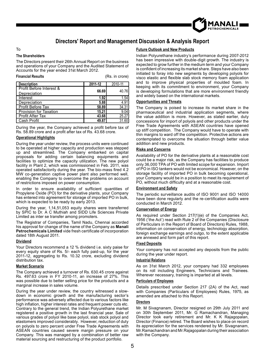

# **Directors' Report and Management Discussion & Analysis Report**

#### To

### **The Shareholders**

The Directors present their 26th Annual Report on the business and operations of your Company and the Audited Statement of Accounts for the year ended 31st March 2012.

(Rs. in crore)

| <b>Description</b>            | 2011-12 | 2010-11            |
|-------------------------------|---------|--------------------|
| Profit Before Interest &      | 66.69   | 40.76              |
| Depreciation                  |         |                    |
| Interest                      | 1.92    | 1.54               |
| Depreciation                  | 5.88    | 4.91               |
| <b>Profit Before Tax</b>      | 58.89   | 34.31              |
| <b>Provision for Taxation</b> | 15.21   | 9.04               |
| Profit After Tax              | 43.68   | $25.\overline{27}$ |
| Cash Profit                   | 49.87   | 31.60              |

Cash Profit **49.87** 49.87 **49.87** 49.87 **1** 49.87 **1** 31.60 Rs. 58.89 crore and a profit after tax of Rs. 43.68 crore.

## **Operational Highlights**

During the year under review, the process units were continued to be operated at higher capacity and production was stepped up and streamlined. The Company embarked on capital proposals for adding certain balancing equipments and facilities to optimize the capacity utilization. The new polyol facility in Plant 2, which was commissioned in Feb. 2011, was operated satisfactorily during the year. The bio-mass fired 4.2 MW co-generation captive power plant also performed well, enabling the Company to overcome the problems on account of restrictions imposed on power consumption.

In order to ensure availability of sufficient quantities of Propylene Oxide (PO) for the derivative plants, your Company has entered into agreement for storage of imported PO in bulk, which is expected to be ready by early 2013.

During the year, 1,14,51,053 equity shares were transferred by SPIC to Dr. A C Muthiah and SIDD Life Sciences Private Limited as inter se transfer among promoters.

The Registrar of Companies, Tamil Nadu, Chennai accorded his approval for change of the name of the Company as **Manali Petrochemicals Limited** vide fresh certificate of incorporation dated 18th August 2011.

#### **Dividend**

Your Directors recommend a 12 % dividend i.e. sixty paise for every equity share of Rs. 5/- each fully paid-up, for the year 2011-12, aggregating to Rs. 10.32 crore, excluding dividend distribution tax.

#### **Market Scenario**

The Company achieved a turnover of Rs. 630.45 crore against Rs. 497.63 crore in FY 2010-11, an increase of 27%. This was possible due to better selling price for the products and a marginal increase in sales volume.

During the year under review, the country witnessed a slowdown in economic growth and the manufacturing sector's performance was adversely affected due to various factors like high inflation, higher interest rates and frequent power cuts etc. Contrary to the general trend, the Indian Polyurethane market registered a positive growth in the last financial year. Sale of various grades of polyol like base polyol, slab stock polyol and elastomers improved considerably. However, reduction of duty on polyols to zero percent under Free Trade Agreements with ASEAN countries caused severe margin pressure on your Company. This was managed by a combination of better raw material sourcing and restructuring of the product portfolio.

#### **Future Outlook and New Products**

Indian Polyurethane industry's performance during 2007-2012 has been impressive with double-digit growth. The industry is expected to grow further in the medium term and your Company is confident of increasing its market share. Steps have also been initiated to foray into new segments by developing polyols for visco elastic and flexible slab stock memory foam application and to improve physical properties of moulded foam. In keeping with its commitment to environment, your Company is developing formulations that are more environment friendly and widely based on the international markets.

#### **Opportunities and Threats**

The Company is poised to increase its market share in the pharmaceutical and industrial application segments, where the value addition is more. However, as stated earlier, duty concessions for import of polyols and other products under the Free Trade Agreements with ASEAN countries have opened up stiff competition. The Company would have to operate with thin margins to ward off the competition. Protective actions are contemplated to overcome the situation through better value addition and new products.

#### **Risks and Concerns**

Availability of PO for the derivative plants at a reasonable cost could be a major risk, as the Company has facilities to produce only 36,000 TPA of PO with limited scope for expansion. Import of PO in ISO tankers would not be economical. However, on the storage facility of imported PO in bulk becoming operational, your Company would be in a position to meet its requirement of PO, without much difficulty and at a reasonable cost.

## **Environment and Safety**

The periodic surveillance audits of ISO 9001 and ISO 14000 have been done regularly and the re-certification audits were conducted in March 2012.

#### **Conservation of Energy**

As required under Section 217(1)(e) of the Companies Act, 1956 ('the Act') read with Rule 2 of the Companies (Disclosure of Particulars in the Report of Board of Directors) Rules, 1988, information on conservation of energy, technology absorption, foreign exchange earnings and outgo, to the extent applicable are annexed and form part of this report.

#### **Fixed Deposits**

Your company has not accepted any deposits from the public during the year under report.

#### **Industrial Relations**

As on 31st March 2012, your company had 332 employees on its roll including Engineers, Technicians and Trainees. Wherever necessary, training is imparted at all levels.

#### **Particulars of Employees**

Details prescribed under Section 217 (2A) of the Act, read with Companies (Particulars of Employees) Rules, 1975, as amended are attached to this Report.

#### **Directors**

Mr. M Sivagnanam, Director resigned on 29th July 2011 and on 30th September 2011, Mr. G Ramachandran, Managing Director took early retirement and Mr. K K Rajagopalan, Director (Finance) retired. The Board wishes to place on record its appreciation for the services rendered by Mr. Sivagnanam, Mr.Ramachandran and Mr.Rajagopalan during their association with the Company.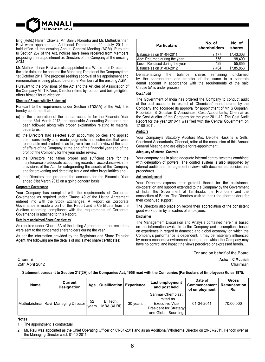

Brig (Retd.) Harish Chawla, Mr. Sanjiv Noronha and Mr. Muthukrishnan Ravi were appointed as Additional Directors on 29th July 2011 to hold office till the ensuing Annual General Meeting (AGM). Pursuant to Section 257 of the Act, notices have been received from Members proposing their appointment as Directors of the Company at the ensuing AGM.

Mr. Muthukrishnan Ravi was also appointed as a Whole-time Director on the said date and he became the Managing Director of the Company from 1st October 2011. The proposal seeking approval of his appointment and remuneration is being placed before the Members at the ensuing AGM.

Pursuant to the provisions of the Act and the Articles of Association of the Company Mr. T K Arun, Director retires by rotation and being eligible, offers himself for re-election.

#### **Directors' Responsibility Statement**

Pursuant to the requirement under Section 217(2AA) of the Act, it is hereby confirmed that:

- (a) in the preparation of the annual accounts for the Financial Year ended 31st March 2012, the applicable Accounting Standards had been followed along with proper explanation relating to material departures;
- (b) the Directors had selected such accounting policies and applied them consistently and made judgments and estimates that were reasonable and prudent so as to give a true and fair view of the state of affairs of the Company at the end of the financial year and of the profit of the Company for the year under review;
- (c) the Directors had taken proper and sufficient care for the maintenance of adequate accounting records in accordance with the provisions of the Act, for safeguarding the assets of the Company and for preventing and detecting fraud and other irregularities and
- (d) the Directors had prepared the accounts for the Financial Year ended 31st March 2012 on a going concern basis.

## **Corporate Governance**

Your Company has complied with the requirements of Corporate Governance as required under Clause 49 of the Listing Agreement entered into with the Stock Exchanges. A Report on Corporate Governance is made a part of this Report and a Certificate from the Auditors regarding compliance with the requirements of Corporate Governance is attached to this Report.

#### **Details of unclaimed Share Certificates**

As required under Clause 5A of the Listing Agreement, three reminders were sent to the concerned shareholders during the year.

As per the information provided by the Registrars and Share Transfer Agent, the following are the details of unclaimed share certificates:

# 25th April 2012 Chairman

| <b>Particulars</b>             | No. of<br>shareholders | No. of<br>shares |
|--------------------------------|------------------------|------------------|
| Balance as on 01-04-2011       | 7.177                  | 17,43,308        |
| Add: Returned during the year  | 656                    | 98.400           |
| Less: Released during the year | 429                    | 55.855           |
| Balance as on 31-03-2012       | 7.404                  | 17.85.853        |

Dematerializing the balance shares remaining unclaimed by the shareholders and transfer of the same to a separate demat account in accordance with the requirements of the said Clause 5A is under process.

#### **Cost Audit**

The Government of India has ordered the Company to conduct audit of the cost accounts in respect of 'Chemicals' manufactured by the Company and accorded its approval for appointment of Mr. S Gopalan, Proprietor, S Gopalan & Associates, Cost Accountants, Chennai as the Cost Auditor of the Company for the year 2011-12. The Cost Audit Report for the year 2010-11 was filed with the Central Government on 17-08-2011.

#### **Auditors**

Your Company's Statutory Auditors M/s. Deloitte Haskins & Sells, Chartered Accountants, Chennai, retire at the conclusion of this Annual General Meeting and are eligible for re-appointment.

#### **Adequacy of Internal Controls**

Your company has in place adequate internal control systems combined with delegation of powers. The control system is also supported by internal audits and management reviews with documented policies and procedures.

#### **Acknowledgement**

Your Directors express their grateful thanks for the assistance, co-operation and support extended to the Company by the Government of India, the Government of Tamilnadu, the Promoters and the consortium of Banks. The Directors wish to thank the shareholders for their continued support.

The Directors also place on record their appreciation of the consistent good work put in by all cadres of employees.

#### **Disclaimer**

The Management Discussion and Analysis contained herein is based on the information available to the Company and assumptions based on experience in regard to domestic and global economy, on which the Company's performance is dependent. It may be materially influenced by macro economic/environment changes, on which the Company may have no control and impact the views perceived or expressed herein.

For and on behalf of the Board

Chennai **Ashwin C Muthiah**

**Statement pursuant to Section 217(2A) of the Companies Act, 1956 read with the Companies (Particulars of Employees) Rules 1975.**

| Name                                 | Current<br><b>Designation</b> | Age         | Qualification          | <b>Experience</b> | Last employment<br>and post held                                                                         | Date of<br>Commencement<br>of employment | Gross<br>Remuneration<br>Rs. |
|--------------------------------------|-------------------------------|-------------|------------------------|-------------------|----------------------------------------------------------------------------------------------------------|------------------------------------------|------------------------------|
| Muthukrishnan Ravi Managing Director |                               | 52<br>vears | B. Tech.<br>MBA (XLRI) | 30 years          | Sanmar Chemplast<br>Limited as<br><b>Executive Vice</b><br>President for Strategy<br>and Global Sourcing | 01-04-2011                               | 70,00,000                    |

#### **Notes:**

The appointment is contractual.

Mr. Ravi was appointed as the Chief Operating Officer on 01-04-2011 and as an Additional/Wholetime Director on 29-07-2011. He took over as the Managing Director w.e.f. 01-10-2011.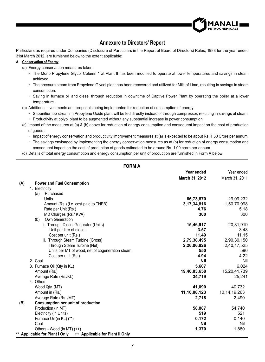

# **Annexure to Directors' Report**

Particulars as required under Companies (Disclosure of Particulars in the Report of Board of Directors) Rules, 1988 for the year ended 31st March 2012, are furnished below to the extent applicable:

## **A. Conservation of Energy**

(a) Energy conservation measures taken :

- The Mono Propylene Glycol Column 1 at Plant II has been modified to operate at lower temperatures and savings in steam achieved.
- The pressure steam from Propylene Glycol plant has been recovered and utilized for Milk of Lime, resulting in savings in steam consumption.
- Saving in furnace oil and diesel through reduction in downtime of Captive Power Plant by operating the boiler at a lower temperature.
- (b) Additional investments and proposals being implemented for reduction of consumption of energy:
	- Saponifier top stream in Propylene Oxide plant will be fed directly instead of through compressor, resulting in savings of steam.
	- Productivity at polyol plant to be augmented without any substantial increase in power consumption.
- (c) Impact of the measures at (a) & (b) above for reduction of energy consumption and consequent impact on the cost of production of goods :
	- Impact of energy conservation and productivity improvement measures at (a) is expected to be about Rs. 1.50 Crore per annum.
	- The savings envisaged by implementing the energy conservation measures as at (b) for reduction of energy consumption and consequent impact on the cost of production of goods estimated to be around Rs. 1.00 crore per annum.
- (d) Details of total energy consumption and energy consumption per unit of production are furnished in Form A below:

|     | <b>FORM A</b>                                                         |                 |                 |
|-----|-----------------------------------------------------------------------|-----------------|-----------------|
|     |                                                                       | Year ended      | Year ended      |
|     |                                                                       | March 31, 2012  | March 31, 2011  |
| (A) | <b>Power and Fuel Consumption</b>                                     |                 |                 |
|     | 1. Electricity                                                        |                 |                 |
|     | Purchased<br>(a)                                                      |                 |                 |
|     | Units                                                                 | 66,73,870       | 29,09,232       |
|     | Amount (Rs.) (i.e. cost paid to TNEB)                                 | 3,17,34,816     | 1,50,70,998     |
|     | Rate per Unit (Rs.)                                                   | 4.76            | 5.18            |
|     | MD Charges (Rs./ KVA)                                                 | 300             | 300             |
|     | Own Generation<br>(b)                                                 |                 |                 |
|     | i. Through Diesel Generator (Units)                                   | 15,46,917       | 20,81,919       |
|     | Unit per litre of diesel                                              | 3.57            | 3.48            |
|     | Cost per unit (Rs.)                                                   | 11.49           | 11.15           |
|     | ii. Through Steam Turbine (Gross)                                     | 2,79,38,495     | 2,90,30,150     |
|     | Through Steam Turbine (Net)                                           | 2,26,06,826     | 2,40,17,525     |
|     | Units per MT of wood, net of cogeneration steam                       | 550             | 590             |
|     | Cost per unit (Rs.)                                                   | 4.94            | 4.22            |
|     | 2. Coal                                                               | Nil             | Nil             |
|     | 3. Furnace Oil (Qty in KL)                                            | 5,607           | 6,024           |
|     | Amount (Rs.)                                                          | 19,46,83,658    | 15,20,41,739    |
|     | Average Rate (Rs./KL)                                                 | 34,719          | 25,241          |
|     | 4. Others                                                             |                 |                 |
|     | Wood Qty. (MT)                                                        | 41.090          | 40.732          |
|     | Amount in (Rs.)                                                       | 11, 16, 88, 123 | 10, 14, 19, 263 |
|     | Average Rate (Rs. /MT)                                                | 2,718           | 2,490           |
| (B) | Consumption per unit of production                                    |                 |                 |
|     | Production (in MT)                                                    | 58,887          | 54,740          |
|     | Electricity (in Units)                                                | 519             | 521             |
|     | Furnace Oil (in KL) (**)                                              | 0.172           | 0.140           |
|     | Coal                                                                  | Nil             | Nil             |
|     | Others - Wood (in MT) (++)                                            | 1.370           | 1.880           |
|     | <b>Applicable for Plant I Only</b><br>++ Applicable for Plant II Only |                 |                 |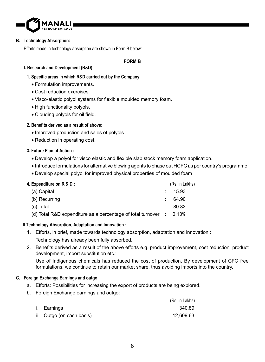

## **B. Technology Absorption:**

Efforts made in technology absorption are shown in Form B below:

## **FORM B**

## **I. Research and Development (R&D) :**

- **1. Specific areas in which R&D carried out by the Company:**
	- Formulation improvements.
	- Cost reduction exercises.
	- Visco-elastic polyol systems for flexible moulded memory foam.
	- High functionality polyols.
	- Clouding polyols for oil field.

## **2. Benefits derived as a result of above:**

- Improved production and sales of polyols.
- Reduction in operating cost.

## **3. Future Plan of Action :**

- Develop a polyol for visco elastic and flexible slab stock memory foam application.
- Introduce formulations for alternative blowing agents to phase out HCFC as per country's programme.
- Develop special polyol for improved physical properties of moulded foam

| 4. Expenditure on R & D :                                                      | (Rs. in Lakhs) |
|--------------------------------------------------------------------------------|----------------|
| (a) Capital                                                                    | : 15.93        |
| (b) Recurring                                                                  | 64.90          |
| (c) Total                                                                      | 80.83          |
| (d) Total R&D expenditure as a percentage of total turnover $\therefore$ 0.13% |                |

## **II.Technology Absorption, Adaptation and Innovation :**

- 1. Efforts, in brief, made towards technology absorption, adaptation and innovation : Technology has already been fully absorbed.
- 2. Benefits derived as a result of the above efforts e.g. product improvement, cost reduction, product development, import substitution etc.:

 Use of Indigenous chemicals has reduced the cost of production. By development of CFC free formulations, we continue to retain our market share, thus avoiding imports into the country.

## **C. Foreign Exchange Earnings and outgo**

- a. Efforts: Possibilities for increasing the export of products are being explored.
- b. Foreign Exchange earnings and outgo:

|                           | (Rs. in Lakhs) |
|---------------------------|----------------|
| i. Earnings               | 340.89         |
| ii. Outgo (on cash basis) | 12.609.63      |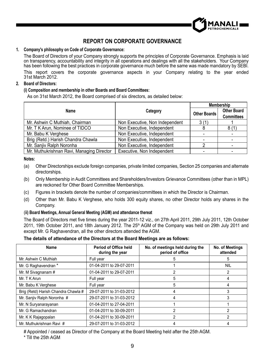

# **REPORT ON CORPORATE GOVERNANCE**

## **1. Company's philosophy on Code of Corporate Governance:**

 The Board of Directors of your Company strongly supports the principles of Corporate Governance. Emphasis is laid on transparency, accountability and integrity in all operations and dealings with all the stakeholders. Your Company has been following the best practices in corporate governance much before the same was made mandatory by SEBI. This report covers the corporate governance aspects in your Company relating to the year ended 31st March 2012.

## **2. Board of Directors:**

## **(i) Composition and membership in other Boards and Board Committees:**

As on 31st March 2012, the Board comprised of six directors, as detailed below:

|                                           |                                | Membership   |                    |  |
|-------------------------------------------|--------------------------------|--------------|--------------------|--|
| Name                                      | Category                       | Other Boards | <b>Other Board</b> |  |
|                                           |                                |              | <b>Committees</b>  |  |
| Mr. Ashwin C Muthiah, Chairman            | Non Executive, Non Independent | 3(1)         |                    |  |
| Mr. T K Arun, Nominee of TIDCO            | Non Executive, Independent     | 8            | 8(1)               |  |
| Mr. Babu K Verghese                       | Non Executive, Independent     |              |                    |  |
| Brig (Retd.) Harish Chandra Chawla        | Non Executive, Independent     |              |                    |  |
| Mr. Sanjiv Ralph Noronha                  | Non Executive, Independent     | 2            |                    |  |
| Mr. Muthukrishnan Ravi, Managing Director | Executive, Non Independent     |              |                    |  |

## **Notes:**

- (a) Other Directorships exclude foreign companies, private limited companies, Section 25 companies and alternate directorships.
- (b) Only Membership in Audit Committees and Shareholders/Investors Grievance Committees (other than in MPL) are reckoned for Other Board Committee Memberships.
- (c) Figures in brackets denote the number of companies/committees in which the Director is Chairman.
- (d) Other than Mr. Babu K Verghese, who holds 300 equity shares, no other Director holds any shares in the Company.

## (**ii) Board Meetings, Annual General Meeting (AGM) and attendance thereat**

The Board of Directors met five times during the year 2011-12 viz., on 27th April 2011, 29th July 2011, 12th October 2011, 19th October 2011, and 18th January 2012. The 25<sup>th</sup> AGM of the Company was held on 29th July 2011 and except Mr. G Raghavendran, all the other directors attended the AGM.

## **The details of attendance of the Directors at the Board Meetings are as follows:**

| <b>Name</b>                         | Period of Office held<br>during the year | No. of meetings held during the<br>period of office | No. of Meetings<br>attended |
|-------------------------------------|------------------------------------------|-----------------------------------------------------|-----------------------------|
| Mr. Ashwin C Muthiah                | Full year                                |                                                     | 5                           |
| Mr. G Raghavendran *                | 01-04-2011 to 29-07-2011                 |                                                     | <b>NIL</b>                  |
| Mr. M Sivagnanam #                  | 01-04-2011 to 29-07-2011                 |                                                     |                             |
| Mr. T K Arun                        | Full year                                | 5                                                   | 4                           |
| Mr. Babu K Verghese                 | Full year                                | 5                                                   | 4                           |
| Brig (Retd) Harish Chandra Chawla # | 29-07-2011 to 31-03-2012                 |                                                     | 3                           |
| Mr. Sanjiv Ralph Noronha #          | 29-07-2011 to 31-03-2012                 |                                                     | 3                           |
| Mr. N Suryanarayanan                | 01-04-2011 to 27-04-2011                 |                                                     |                             |
| Mr. G Ramachandran                  | 01-04-2011 to 30-09-2011                 | っ                                                   | 2                           |
| Mr. K K Rajagopalan                 | 01-04-2011 to 30-09-2011                 |                                                     | 2                           |
| Mr. Muthukrishnan Ravi #            | 29-07-2011 to 31-03-2012                 |                                                     |                             |

# Appointed / ceased as Director of the Company at the Board Meeting held after the 25th AGM.

\* Till the 25th AGM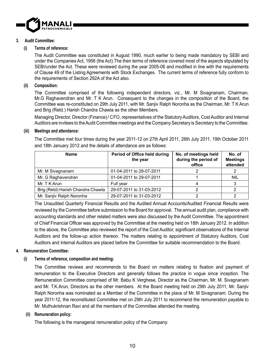

## **3. Audit Committee:**

## **(i) Terms of reference:**

 The Audit Committee was constituted in August 1990, much earlier to being made mandatory by SEBI and under the Companies Act, 1956 (the Act).The then terms of reference covered most of the aspects stipulated by SEBI/under the Act. These were reviewed during the year 2005-06 and modified in line with the requirements of Clause 49 of the Listing Agreements with Stock Exchanges. The current terms of reference fully conform to the requirements of Section 292A of the Act also.

## **(ii) Composition:**

 The Committee comprised of the following independent directors, viz., Mr. M Sivagnanam, Chairman, Mr.G Raghavendran and Mr. T K Arun. Consequent to the changes in the composition of the Board, the Committee was re-constituted on 29th July 2011, with Mr. Sanjiv Ralph Noronha as the Chairman, Mr. T K Arun and Brig (Retd.) Harish Chandra Chawla as the other Members.

 Managing Director, Director (Finance)/ CFO, representatives of the Statutory Auditors, Cost Auditor and Internal Auditors are invitees to the Audit Committee meetings and the Company Secretary is Secretary to the Committee.

## **(iii) Meetings and attendance:**

 The Committee met four times during the year 2011-12 on 27th April 2011, 26th July 2011, 19th October 2011 and 18th January 2012 and the details of attendance are as follows:

| <b>Name</b>                       | Period of Office held during<br>the year | No. of meetings held<br>during the period of<br>office | No. of<br><b>Meetings</b><br>attended |
|-----------------------------------|------------------------------------------|--------------------------------------------------------|---------------------------------------|
| Mr. M Sivagnanam                  | 01-04-2011 to 29-07-2011                 |                                                        |                                       |
| Mr. G Raghavendran                | 01-04-2011 to 29-07-2011                 |                                                        | <b>NIL</b>                            |
| Mr. T K Arun                      | Full year                                |                                                        |                                       |
| Brig (Retd) Harish Chandra Chawla | 29-07-2011 to 31-03-2012                 |                                                        |                                       |
| Mr. Sanjiv Ralph Noronha          | 29-07-2011 to 31-03-2012                 |                                                        |                                       |

 The Unaudited Quarterly Financial Results and the Audited Annual Accounts/Audited Financial Results were reviewed by the Committee before submission to the Board for approval. The annual audit plan, compliance with accounting standards and other related matters were also discussed by the Audit Committee. The appointment of Chief Financial Officer was approved by the Committee at the meeting held on 18th January 2012. In addition to the above, the Committee also reviewed the report of the Cost Auditor, significant observations of the Internal Auditors and the follow-up action thereon. The matters relating to appointment of Statutory Auditors, Cost Auditors and Internal Auditors are placed before the Committee for suitable recommendation to the Board.

## **4. Remuneration Committee:**

## **(i) Terms of reference, composition and meeting:**

The Committee reviews and recommends to the Board on matters relating to fixation and payment of remuneration to the Executive Directors and generally follows the practice in vogue since inception. The Remuneration Committee comprised of Mr. Babu K Verghese, Director as the Chairman, Mr. M. Sivagnanam and Mr. T.K.Arun, Directors as the other members. At the Board meeting held on 29th July 2011, Mr. Sanjiv Ralph Noronha was nominated as a Member of the Committee in the place of Mr. M Sivagnanam. During the year 2011-12, the reconstituted Committee met on 29th July 2011 to recommend the remuneration payable to Mr. Muthukrishnan Ravi and all the members of the Committee attended the meeting.

## **(ii) Remuneration policy:**

The following is the managerial remuneration policy of the Company: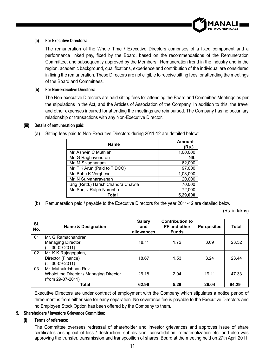

## **(a) For Executive Directors:**

The remuneration of the Whole Time / Executive Directors comprises of a fixed component and a performance linked pay, fixed by the Board, based on the recommendations of the Remuneration Committee, and subsequently approved by the Members. Remuneration trend in the industry and in the region, academic background, qualifications, experience and contribution of the individual are considered in fixing the remuneration. These Directors are not eligible to receive sitting fees for attending the meetings of the Board and Committees.

## **(b) For Non-Executive Directors:**

 The Non-executive Directors are paid sitting fees for attending the Board and Committee Meetings as per the stipulations in the Act, and the Articles of Association of the Company. In addition to this, the travel and other expenses incurred for attending the meetings are reimbursed. The Company has no pecuniary relationship or transactions with any Non-Executive Director.

## **(iii) Details of remuneration paid:**

| <b>Name</b>                        | <b>Amount</b><br>(Rs.) |
|------------------------------------|------------------------|
| Mr. Ashwin C Muthiah               | 1,00,000               |
| Mr. G Raghavendran                 | <b>NIL</b>             |
| Mr. M Sivagnanam                   | 62,000                 |
| Mr. T K Arun (Paid to TIDCO)       | 97,000                 |
| Mr. Babu K Verghese                | 1,08,000               |
| Mr. N Suryanarayanan               | 20,000                 |
| Brig (Retd.) Harish Chandra Chawla | 70,000                 |
| Mr. Sanjiv Ralph Noronha           | 72,000                 |
| Total                              | 5,29,000               |

(a) Sitting fees paid to Non-Executive Directors during 2011-12 are detailed below:

(b) Remuneration paid / payable to the Executive Directors for the year 2011-12 are detailed below:

(Rs. in lakhs)

| SI.<br>No. | <b>Name &amp; Designation</b>                               | Salary<br>and<br>allowances | <b>Contribution to</b><br><b>PF</b> and other<br><b>Funds</b> | <b>Perquisites</b> | Total |
|------------|-------------------------------------------------------------|-----------------------------|---------------------------------------------------------------|--------------------|-------|
| 01         | Mr. G Ramachandran,                                         | 18.11                       | 1.72                                                          | 3.69               | 23.52 |
|            | <b>Managing Director</b><br>(till 30-09-2011)               |                             |                                                               |                    |       |
| 02         | Mr. K K Rajagopalan,                                        |                             |                                                               |                    |       |
|            | Director (Finance)                                          | 18.67                       | 1.53                                                          | 3.24               | 23 44 |
| 03         | (till 30-09-2011)<br>Mr. Muthukrishnan Ravi                 |                             |                                                               |                    |       |
|            | Wholetime Director / Managing Director<br>(from 29-07-2011) | 26.18                       | 2.04                                                          | 19.11              | 47.33 |
|            | Total                                                       | 62.96                       | 5.29                                                          | 26.04              | 94.29 |

 Executive Directors are under contract of employment with the Company which stipulates a notice period of three months from either side for early separation. No severance fee is payable to the Executive Directors and no Employee Stock Option has been offered by the Company to them.

## **5. Shareholders / Investors Grievance Committee:**

## **(i) Terms of reference:**

 The Committee oversees redressal of shareholder and investor grievances and approves issue of share certificates arising out of loss / destruction, sub-division, consolidation, rematerialization etc. and also was approving the transfer, transmission and transposition of shares. Board at the meeting held on 27th April 2011,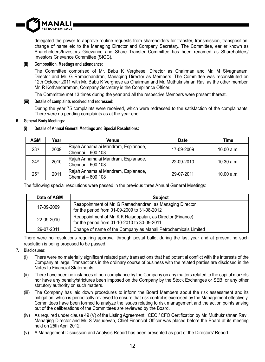

delegated the power to approve routine requests from shareholders for transfer, transmission, transposition, change of name etc to the Managing Director and Company Secretary. The Committee, earlier known as Shareholders/Investors Grievance and Share Transfer Committee has been renamed as Shareholders/ Investors Grievance Committee (SIGC).

## **(ii) Composition, Meetings and attendance:**

The Committee comprised of Mr. Babu K Verghese, Director as Chairman and Mr. M Sivagnanam, Director and Mr. G Ramachandran, Managing Director as Members. The Committee was reconstituted on 12th October 2011 with Mr. Babu K Verghese as Chairman and Mr. Muthukrishnan Ravi as the other member. Mr. R Kothandaraman, Company Secretary is the Compliance Officer.

The Committee met 13 times during the year and all the respective Members were present thereat.

## **(iii) Details of complaints received and redressed:**

During the year 75 complaints were received, which were redressed to the satisfaction of the complainants. There were no pending complaints as at the year end.

## **6. General Body Meetings:**

## **(i) Details of Annual General Meetings and Special Resolutions:**

| <b>AGM</b>       | Year | Venue                               | Date       | Time                     |  |
|------------------|------|-------------------------------------|------------|--------------------------|--|
| 23 <sup>rd</sup> | 2009 | Rajah Annamalai Mandram, Esplanade, | 17-09-2009 | 10.00 a.m.               |  |
|                  |      | lChennai – 600 108                  |            |                          |  |
| 24 <sup>th</sup> | 2010 | Rajah Annamalai Mandram, Esplanade, | 22-09-2010 |                          |  |
|                  |      | lChennai – 600 108                  |            |                          |  |
|                  | 2011 | Rajah Annamalai Mandram, Esplanade, | 29-07-2011 |                          |  |
| 25 <sup>th</sup> |      | Chennai - 600 108                   |            | 10.30 a.m.<br>10.00 a.m. |  |

The following special resolutions were passed in the previous three Annual General Meetings:

| Date of AGM | <b>Subject</b>                                                 |
|-------------|----------------------------------------------------------------|
| 17-09-2009  | Reappointment of Mr. G Ramachandran, as Managing Director      |
|             | for the period from 01-09-2009 to 31-08-2012                   |
| 22-09-2010  | Reappointment of Mr. K K Rajagopalan, as Director (Finance)    |
|             | for the period from 01-10-2010 to 30-09-2011                   |
| 29-07-2011  | Change of name of the Company as Manali Petrochemicals Limited |

 There were no resolutions requiring approval through postal ballot during the last year and at present no such resolution is being proposed to be passed.

## **7. Disclosures:**

- (i) There were no materially significant related party transactions that had potential conflict with the interests of the Company at large. Transactions in the ordinary course of business with the related parties are disclosed in the Notes to Financial Statements.
- (ii) There have been no instances of non-compliance by the Company on any matters related to the capital markets nor have any penalty/strictures been imposed on the Company by the Stock Exchanges or SEBI or any other statutory authority on such matters.
- (iii) The Company has laid down procedures to inform the Board Members about the risk assessment and its mitigation, which is periodically reviewed to ensure that risk control is exercised by the Management effectively. Committees have been formed to analyze the issues relating to risk management and the action points arising out of the deliberations of the Committees are reviewed by the Board.
- (iv) As required under clause 49 (V) of the Listing Agreement, CEO / CFO Certification by Mr. Muthukrishnan Ravi, Managing Director and Mr. S Vasudevan, Chief Financial Officer was placed before the Board at its meeting held on 25th April 2012.
- (v) A Management Discussion and Analysis Report has been presented as part of the Directors' Report.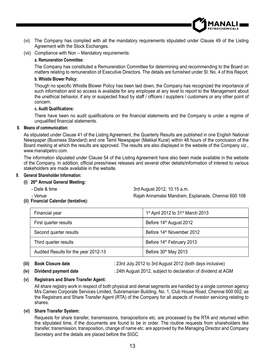- (vi) The Company has complied with all the mandatory requirements stipulated under Clause 49 of the Listing Agreement with the Stock Exchanges.
- (vii) Compliance with Non Mandatory requirements:

## **a. Remuneration Committee:**

 The Company has constituted a Remuneration Committee for determining and recommending to the Board on matters relating to remuneration of Executive Directors. The details are furnished under Sl. No. 4 of this Report.

## **b. Whistle Blower Policy:**

Though no specific Whistle Blower Policy has been laid down, the Company has recognized the importance of such information and so access is available for any employee at any level to report to the Management about the unethical behavior, if any or suspected fraud by staff / officers / suppliers / customers or any other point of concern.

## **c. Audit Qualifications:**

There have been no audit qualifications on the financial statements and the Company is under a regime of unqualified financial statements.

## **8. Means of communication:**

 As stipulated under Clause 41 of the Listing Agreement, the Quarterly Results are published in one English National Newspaper (Business Standard) and one Tamil Newspaper (Makkal Kural) within 48 hours of the conclusion of the Board meeting at which the results are approved. The results are also displayed in the website of the Company viz., www.manalipetro.com.

 The information stipulated under Clause 54 of the Listing Agreement have also been made available in the website of the Company. In addition, official press/news releases and several other details/information of interest to various stakeholders are made available in the website.

## **9. General Shareholder Information:**

## **(i) 26th Annual General Meeting:**

- 
- Date & time 3rd August 2012, 10.15 a.m.
- 

- Venue Rajah Annamalai Mandram, Esplanade, Chennai 600 108

 **(ii) Financial Calendar (tentative):**

| Financial year                       | 1 <sup>st</sup> April 2012 to 31 <sup>st</sup> March 2013 |
|--------------------------------------|-----------------------------------------------------------|
| First quarter results                | Before 14 <sup>th</sup> August 2012                       |
| Second quarter results               | Before 14 <sup>th</sup> November 2012                     |
| Third quarter results                | Before 14 <sup>th</sup> February 2013                     |
| Audited Results for the year 2012-13 | Before 30 <sup>th</sup> May 2013                          |

**(iii) Book Closure date** : 23rd July 2012 to 3rd August 2012 (both days inclusive)

 **(iv) Dividend payment date** : 24th August 2012, subject to declaration of dividend at AGM

## **(v) Registrars and Share Transfer Agent:**

 All share registry work in respect of both physical and demat segments are handled by a single common agency M/s Cameo Corporate Services Limited, Subramanian Building, No. 1, Club House Road, Chennai 600 002, as the Registrars and Share Transfer Agent (RTA) of the Company for all aspects of investor servicing relating to shares.

## **(vi) Share Transfer System:**

 Requests for share transfer, transmissions, transpositions etc. are processed by the RTA and returned within the stipulated time, if the documents are found to be in order. The routine requests from shareholders like transfer, transmission, transposition, change of name etc. are approved by the Managing Director and Company Secretary and the details are placed before the SIGC.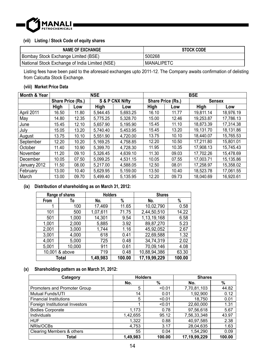

## **(vii) Listing / Stock Code of equity shares**

| <b>NAME OF EXCHANGE</b>                        | <b>STOCK CODE</b> |
|------------------------------------------------|-------------------|
| Bombay Stock Exchange Limited (BSE)            | 500268            |
| National Stock Exchange of India Limited (NSE) | <b>MANALIPETC</b> |

Listing fees have been paid to the aforesaid exchanges upto 2011-12. The Company awaits confirmation of delisting from Calcutta Stock Exchange.

## **(viii) Market Price Data**

| Month & Year | <b>NSE</b>        |       |                 |          |                   | <b>BSE</b> |               |           |
|--------------|-------------------|-------|-----------------|----------|-------------------|------------|---------------|-----------|
|              | Share Price (Rs.) |       | S & P CNX Nifty |          | Share Price (Rs.) |            | <b>Sensex</b> |           |
|              | High              | Low   | High            | Low      | High              | Low        | High          | Low       |
| April 2011   | 16.50             | 11.80 | 5.944.45        | 5.693.25 | 16.10             | 11.77      | 19.811.14     | 18.976.19 |
| May          | 14.80             | 12.35 | 5.775.25        | 5.328.70 | 15.00             | 12.46      | 19.253.87     | 17.786.13 |
| June         | 15.45             | 12.10 | 5.657.90        | 5.195.90 | 15.45             | 11.10      | 18.873.39     | 17.314.38 |
| July         | 15.05             | 13.20 | 5.740.40        | 5.453.95 | 15.45             | 13.20      | 19.131.70     | 18.131.86 |
| August       | 13.75             | 10.10 | 5.551.90        | 4.720.00 | 13.75             | 10.10      | 18.440.07     | 15.765.53 |
| September    | 12.20             | 10.20 | 5.169.25        | 4.758.85 | 12.20             | 10.50      | 17.211.80     | 15.801.01 |
| October      | 11.40             | 10.90 | 5.399.70        | 4.728.30 | 11.95             | 10.35      | 17.908.13     | 15.745.43 |
| November     | 11.20             | 09.10 | 5.326.45        | 4.639.10 | 11.30             | 09.03      | 17.702.26     | 15.478.69 |
| December     | 10.05             | 07.50 | 5.099.25        | 4.531.15 | 10.05             | 07.55      | 17.003.71     | 15.135.86 |
| January 2012 | 11.50             | 08.00 | 5.217.00        | 4.588.05 | 12.50             | 08.01      | 17,258.97     | 15.358.02 |
| February     | 13.00             | 10.40 | 5.629.95        | 5.159.00 | 13.50             | 10.40      | 18.523.78     | 17.061.55 |
| March        | 13.00             | 09.70 | 5.499.40        | 5.135.95 | 12.20             | 09.73      | 18.040.69     | 16.920.61 |

## **(ix) Distribution of shareholding as on March 31, 2012:**

| Range of shares |        | <b>Holders</b> |        | <b>Shares</b>   |        |
|-----------------|--------|----------------|--------|-----------------|--------|
| From            | To     | No.            | %      | No.             | %      |
|                 | 100    | 17,469         | 11.65  | 10,02,790       | 0.58   |
| 101             | 500    | 1,07,611       | 71.75  | 2,44,50,510     | 14.22  |
| 501             | 1,000  | 14,301         | 9.54   | 1,13,19,168     | 6.58   |
| 1,001           | 2,000  | 5,885          | 3.92   | 89,87,270       | 5.23   |
| 2,001           | 3,000  | 1,744          | 1.16   | 45,92,052       | 2.67   |
| 3,001           | 4,000  | 618            | 0.41   | 22,69,588       | 1.32   |
| 4.001           | 5,000  | 725            | 0.48   | 34.74.319       | 2.02   |
| 5,001           | 10.000 | 911            | 0.61   | 70.09.146       | 4.08   |
| 10,001 & above  |        | 719            | 0.48   | 10,88,94,386    | 63.30  |
|                 | Total  | 1,49,983       | 100.00 | 17, 19, 99, 229 | 100.00 |

## **(x) Shareholding pattern as on March 31, 2012:**

| Category                        | <b>Holders</b> |        | <b>Shares</b> |        |
|---------------------------------|----------------|--------|---------------|--------|
|                                 | No.            | %      | No.           | %      |
| Promoters and Promoter Group    | 5              | < 0.01 | 7,70,81,103   | 44.82  |
| <b>Mutual Funds/UTI</b>         | 14             | 0.01   | 1,92,900      | 0.12   |
| <b>Financial Institutions</b>   | 5              | < 0.01 | 18.750        | 0.01   |
| Foreign Institutional Investors |                | < 0.01 | 22,60,000     | 1.31   |
| <b>Bodies Corporate</b>         | 1,173          | 0.78   | 97,56,618     | 5.67   |
| Individuals                     | 1,42,655       | 95.12  | 7,56,33,348   | 43.97  |
| <b>HUF</b>                      | 1,322          | 0.88   | 40,97,585     | 2.38   |
| NRIs/OCBs                       | 4.753          | 3.17   | 28,04,635     | 1.63   |
| Clearing Members & others       | 55             | 0.04   | 1,54,290      | 0.09   |
| Total                           | 1,49,983       | 100.00 | 17,19,99,229  | 100.00 |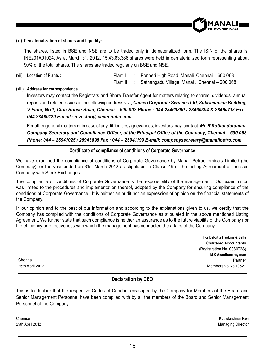

## **(xi) Dematerialization of shares and liquidity:**

The shares, listed in BSE and NSE are to be traded only in dematerialized form. The ISIN of the shares is: INE201A01024. As at March 31, 2012, 15,43,83,386 shares were held in dematerialized form representing about 90% of the total shares. The shares are traded regularly on BSE and NSE.

**(xii) Location of Plants :** Plant I : Ponneri High Road, Manali Chennai – 600 068

## Plant II : Sathangadu Village, Manali, Chennai – 600 068

## **(xiii) Address for correspondence:**

Investors may contact the Registrars and Share Transfer Agent for matters relating to shares, dividends, annual reports and related issues at the following address viz., *Cameo Corporate Services Ltd, Subramanian Building, V Floor, No.1, Club House Road, Chennai – 600 002 Phone : 044 28460390 / 28460394 & 28460718 Fax : 044 28460129 E-mail : investor@cameoindia.com*

For other general matters or in case of any difficulties / grievances, investors may contact: Mr. R Kothandaraman, *Company Secretary and Compliance Of¿ cer, at the Principal Of¿ ce of the Company, Chennai – 600 068 Phone: 044 – 25941025 / 25943895 Fax : 044 – 25941199 E-mail: companysecretary@manalipetro.com*

## **Certificate of compliance of conditions of Corporate Governance**

We have examined the compliance of conditions of Corporate Governance by Manali Petrochemicals Limited (the Company) for the year ended on 31st March 2012 as stipulated in Clause 49 of the Listing Agreement of the said Company with Stock Exchanges.

The compliance of conditions of Corporate Governance is the responsibility of the management. Our examination was limited to the procedures and implementation thereof, adopted by the Company for ensuring compliance of the conditions of Corporate Governance. It is neither an audit nor an expression of opinion on the financial statements of the Company.

In our opinion and to the best of our information and according to the explanations given to us, we certify that the Company has complied with the conditions of Corporate Governance as stipulated in the above mentioned Listing Agreement. We further state that such compliance is neither an assurance as to the future viability of the Company nor the efficiency or effectiveness with which the management has conducted the affairs of the Company.

Chennai 25th April 2012

**For Deloitte Haskins & Sells** Chartered Accountants (Registration No. 008072S) **M.K Ananthanarayanan** Partner Membership No.19521

# **Declaration by CEO**

This is to declare that the respective Codes of Conduct envisaged by the Company for Members of the Board and Senior Management Personnel have been complied with by all the members of the Board and Senior Management Personnel of the Company.

Chennai **Muthukrishnan Ravi** 25th April 2012 Managing Director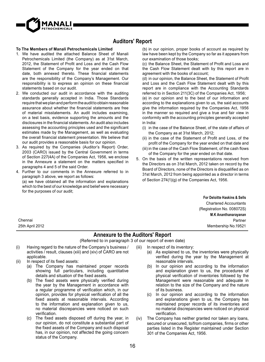

# **Auditors' Report**

#### **To The Members of Manali Petrochemicals Limited**

- 1. We have audited the attached Balance Sheet of Manali Petrochemicals Limited (the Company) as at 31st March, 2012, the Statement of Profit and Loss and the Cash Flow Statement of the Company for the year ended on that date, both annexed thereto. These financial statements are the responsibility of the Company's Management. Our  $resonability$  is to express an opinion on these financial statements based on our audit.
- 2. We conducted our audit in accordance with the auditing standards generally accepted in India. Those Standards require that we plan and perform the audit to obtain reasonable assurance about whether the financial statements are free of material misstatements. An audit includes examining, on a test basis, evidence supporting the amounts and the disclosures in the financial statements. An audit also includes assessing the accounting principles used and the significant estimates made by the Management, as well as evaluating the overall financial statement presentation. We believe that our audit provides a reasonable basis for our opinion.
- 3. As required by the Companies (Auditor's Report) Order, 2003 (CARO) issued by the Central Government in terms of Section 227(4A) of the Companies Act, 1956, we enclose in the Annexure a statement on the matters specified in paragraphs 4 and 5 of the said Order.
- 4. Further to our comments in the Annexure referred to in paragraph 3 above, we report as follows: (a) we have obtained all the information and explanations which to the best of our knowledge and belief were necessary for the purposes of our audit;

(b) in our opinion, proper books of account as required by law have been kept by the Company so far as it appears from our examination of those books;

(c) the Balance Sheet, the Statement of Profit and Loss and the Cash Flow Statement dealt with by this report are in agreement with the books of account;

 $(d)$  in our opinion, the Balance Sheet, the Statement of Profit and Loss and the Cash Flow Statement dealt with by this report are in compliance with the Accounting Standards referred to in Section 211(3C) of the Companies Act, 1956;

(e) in our opinion and to the best of our information and according to the explanations given to us, the said accounts give the information required by the Companies Act, 1956 in the manner so required and give a true and fair view in conformity with the accounting principles generally accepted in India:

- (i) in the case of the Balance Sheet, of the state of affairs of the Company as at 31st March, 2012;
- (ii) in the case of the Statement of Profit and Loss, of the profit of the Company for the year ended on that date and
- (iii) in the case of the Cash Flow Statement, of the cash flows of the Company for the year ended on that date.
- 5. On the basis of the written representations received from the Directors as on 31st March, 2012 taken on record by the Board of Directors, none of the Directors is disqualified as on 31st March, 2012 from being appointed as a director in terms of Section 274(1)(g) of the Companies Act, 1956.

**For Deloitte Haskins & Sells** Chartered Accountants (Registration No. 008072S) **M.K Ananthanarayanan** Partner Membership No.19521

Chennai 25th April 2012

## **Annexure to the Auditors' Report**

(Referred to in paragraph 3 of our report of even date)

- (i) Having regard to the nature of the Company's business / activities / result, clauses (xiii) and (xiv) of CARO are not applicable.
- $(ii)$  In respect of its fixed assets:
	- (a) The Company has maintained proper records showing full particulars, including quantitative details and situation of the fixed assets.
	- (b) The fixed assets were physically verified during the year by the Management in accordance with a regular programme of verification which, in our opinion, provides for physical verification of all the fixed assets at reasonable intervals. According to the information and explanation given to us, no material discrepancies were noticed on such verification.
	- (c) The fixed assets disposed off during the year, in our opinion, do not constitute a substantial part of the fixed assets of the Company and such disposal has, in our opinion, not affected the going concern status of the Company.

(iii) In respect of its inventory:

- (a) As explained to us, the inventories were physically verified during the year by the Management at reasonable intervals.
- (b) In our opinion and according to the information and explanation given to us, the procedures of physical verification of inventories followed by the Management were reasonable and adequate in relation to the size of the Company and the nature of its business.
- (c) In our opinion and according to the information and explanations given to us, the Company has maintained proper records of its inventories and no material discrepancies were noticed on physical verification.
- (iv) The Company has neither granted nor taken any loans, secured or unsecured, to/from companies, firms or other parties listed in the Register maintained under Section 301 of the Companies Act, 1956.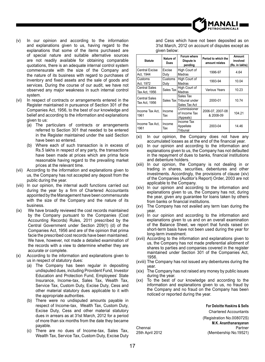

- (v) In our opinion and according to the information and explanations given to us, having regard to the explanations that some of the items purchased are of special nature and suitable alternative sources are not readily available for obtaining comparable quotations, there is an adequate internal control system commensurate with the size of the Company and the nature of its business with regard to purchases of inventory and fixed assets and the sale of goods and services. During the course of our audit, we have not observed any major weakness in such internal control system.
- (vi) In respect of contracts or arrangements entered in the Register maintained in pursuance of Section 301 of the Companies Act, 1956, to the best of our knowledge and belief and according to the information and explanations given to us:
	- (a) The particulars of contracts or arrangements referred to Section 301 that needed to be entered in the Register maintained under the said Section have been so entered.
	- (b) Where each of such transaction is in excess of Rs.5 lakhs in respect of any party, the transactions have been made at prices which are prima facie reasonable having regard to the prevailing market prices at the relevant time.
- (vii) According to the information and explanations given to us, the Company has not accepted any deposit from the public during the year.
- (viii) In our opinion, the internal audit functions carried out during the year by a firm of Chartered Accountants appointed by the Management have been commensurate with the size of the Company and the nature of its business.
- (ix) We have broadly reviewed the cost records maintained by the Company pursuant to the Companies (Cost Accounting Records) Rules, 2011 prescribed by the Central Government under Section 209(1) (d) of the Companies Act, 1956 and are of the opinion that prima facie the prescribed cost records have been maintained. We have, however, not made a detailed examination of the records with a view to determine whether they are accurate or complete.
- (x) According to the information and explanations given to us in respect of statutory dues:
	- (a) The Company has been regular in depositing undisputed dues, including Provident Fund, Investor Education and Protection Fund, Employees' State Insurance, Income-tax, Sales Tax, Wealth Tax, Service Tax, Custom Duty, Excise Duty, Cess and other material statutory dues applicable to it with the appropriate authorities.
	- (b) There were no undisputed amounts payable in respect of Income-tax, Wealth Tax, Custom Duty, Excise Duty, Cess and other material statutory dues in arrears as at 31st March, 2012 for a period of more than six months from the date they became payable.
	- (c) There are no dues of Income-tax, Sales Tax, Wealth Tax, Service Tax, Custom Duty, Excise Duty

and Cess which have not been deposited as on 31st March, 2012 on account of disputes except as given below:

| <b>Statute</b>                        | Nature of<br>Dues | Forum where<br>Dispute is<br>pending                   | Period to which the<br>amount relates | Amount<br>involved<br>(Rs. in lakhs) |
|---------------------------------------|-------------------|--------------------------------------------------------|---------------------------------------|--------------------------------------|
| <b>Central Excise</b><br>Act. 1944    | Excise<br>Duty    | High Court of<br>Madras                                | 1996-97                               | 4.64                                 |
| Customs<br>Act, 1972                  | Customs<br>Duty   | High Court of<br>Madras                                | 1993-94                               | 10.04                                |
| <b>Central Sales</b><br>Tax Act, 1956 | Sales Tax         | High Court of<br>Madras                                | <b>Various Years</b>                  | 10.23                                |
| Central Sales<br>Tax Act. 1956        |                   | Sales Tax<br>Sales Tax Tribunal under<br>Sales Tax Act | 2000-01                               | 10.74                                |
| Income Tax Act.<br>1961               | Income<br>Tax     | Commissioner<br>of Income Tax<br>(Appeals)             | 2006-07, 2007-08<br>& 2008-09         | 104.21                               |
| Income Tax Act,<br>1961               | Income<br>Tax     | Income Tax<br>Appellate<br>Tribunal                    | 2003-04                               | 14.46                                |

(xi) In our opinion, the Company does not have any accumulated losses as at the end of the financial year.

- (xii) In our opinion and according to the information and explanations given to us, the Company has not defaulted in the repayment of dues to banks, financial institutions and debenture holders.
- (xiii) In our opinion, the Company is not dealing in or trading in shares, securities, debentures and other investments. Accordingly, the provisions of clause (xiv) of the Companies (Auditor's Report) Order, 2003 are not applicable to the Company.
- (xiv) In our opinion and according to the information and explanations given to us, the Company has not, during the year, given any guarantee for loans taken by others from banks or financial institutions.
- (xv) The Company has not availed any term loan during the year.
- (xvi) In our opinion and according to the information and explanations given to us and on an overall examination of the Balance Sheet, we report that funds raised on short-term basis have not been used during the year for long-term investment.
- (xvii) According to the information and explanations given to us, the Company has not made preferential allotment of shares to parties and companies covered in the register maintained under Section 301 of the Companies Act, 1956.
- (xviii) The Company has not issued any debentures during the year.
- (xix) The Company has not raised any money by public issues during the year.
- (xx) To the best of our knowledge and according to the information and explanations given to us, no fraud by the Company and no fraud on the Company has been noticed or reported during the year.

**For Deloitte Haskins & Sells** Chartered Accountants (Registration No.008072S) **M.K. Ananthanarayanan** Chennai Partner 25th April 2012 (Membership No.19521)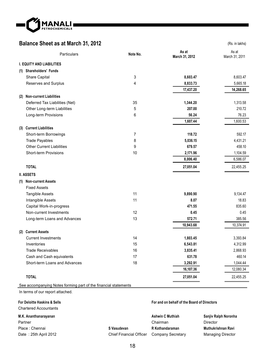

# **Balance Sheet as at March 31, 2012** (Rs. in lakhs)

| <b>Particulars</b>                            |                                                                 | Note No. | As at<br>March 31, 2012 | As at<br>March 31, 2011 |
|-----------------------------------------------|-----------------------------------------------------------------|----------|-------------------------|-------------------------|
|                                               | <b>I. EQUITY AND LIABILITIES</b>                                |          |                         |                         |
| (1) Shareholders' Funds                       |                                                                 |          |                         |                         |
| Share Capital                                 |                                                                 | 3        | 8,603.47                | 8,603.47                |
|                                               | Reserves and Surplus                                            | 4        | 8,833.73                | 5,665.18                |
|                                               |                                                                 |          | 17,437.20               | 14,268.65               |
| (2)                                           | <b>Non-current Liabilities</b>                                  |          |                         |                         |
|                                               | Deferred Tax Liabilities (Net)                                  | 35       | 1,344.20                | 1,313.58                |
|                                               | Other Long-term Liabilities                                     | 5        | 207.00                  | 210.72                  |
|                                               | Long-term Provisions                                            | 6        | 56.24                   | 76.23                   |
|                                               |                                                                 |          | 1,607.44                | 1,600.53                |
| (3) Current Liabilities                       |                                                                 |          |                         |                         |
|                                               | Short-term Borrowings                                           | 7        | 118.72                  | 592.17                  |
|                                               | <b>Trade Payables</b>                                           | 8        | 5,036.15                | 4,431.21                |
|                                               | <b>Other Current Liabilities</b>                                | 9        | 679.57                  | 458.10                  |
|                                               | <b>Short-term Provisions</b>                                    | 10       | 2,171.96                | 1,104.59                |
|                                               |                                                                 |          | 8,006.40                | 6,586.07                |
| <b>TOTAL</b>                                  |                                                                 |          | 27,051.04               | 22,455.25               |
| <b>II. ASSETS</b>                             |                                                                 |          |                         |                         |
|                                               |                                                                 |          |                         |                         |
| (1) Non-current Assets<br><b>Fixed Assets</b> |                                                                 |          |                         |                         |
|                                               |                                                                 | 11       | 9,890.90                | 9,134.47                |
|                                               | <b>Tangible Assets</b>                                          | 11       | 8.07                    | 18.83                   |
|                                               | Intangible Assets<br>Capital Work-in-progress                   |          | 471.55                  | 835.60                  |
|                                               | Non-current Investments                                         | 12       | 0.45                    | 0.45                    |
|                                               | Long-term Loans and Advances                                    | 13       | 572.71                  | 385.56                  |
|                                               |                                                                 |          | 10,943.68               | 10,374.91               |
| (2) Current Assets                            |                                                                 |          |                         |                         |
|                                               | <b>Current Investments</b>                                      | 14       | 1,803.45                | 3,393.84                |
| Inventories                                   |                                                                 | 15       | 6,543.81                | 4,312.99                |
|                                               | <b>Trade Receivables</b>                                        | 16       | 3,835.41                | 2,868.93                |
|                                               | Cash and Cash equivalents                                       | 17       | 631.78                  | 460.14                  |
|                                               | Short-term Loans and Advances                                   | 18       | 3,292.91                | 1,044.44                |
|                                               |                                                                 |          | 16,107.36               | 12,080.34               |
|                                               |                                                                 |          |                         |                         |
| <b>TOTAL</b>                                  |                                                                 |          | 27,051.04               | 22,455.25               |
|                                               | See accompanying Notes forming part of the financial statements |          |                         |                         |

In terms of our report attached.

# **For Deloitte Haskins & Sells**

## Chartered Accountants

## **M.K. Ananthanarayanan** Partner Place : Chennai

Date : 25th April 2012

#### Chairman **S Vasudevan R Kothandaraman** Company Secretary

Chief Financial Officer

## **For and on behalf of the Board of Directors**

**Ashwin C Muthiah**

**Sanjiv Ralph Noronha** Director **Muthukrishnan Ravi** Managing Director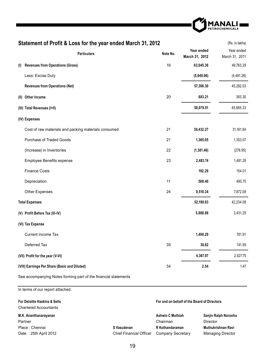

# **Statement of Profit & Loss for the year ended March 31, 2012** (Rs. in lakhs)

|     | <b>Particulars</b>                                   | Note No. | Year ended<br>March 31, 2012 | Year ended<br>March 31, 2011 |
|-----|------------------------------------------------------|----------|------------------------------|------------------------------|
| (1) | <b>Revenues from Operations (Gross)</b>              | 19       | 63,045.36                    | 49,763.29                    |
|     | Less: Excise Duty                                    |          | (5,649.06)                   | (4,481.26)                   |
|     | <b>Revenues from Operations (Net)</b>                |          | 57,396.30                    | 45,282.03                    |
|     | (II) Other Income                                    | 20       | 683.21                       | 383.30                       |
|     | (III) Total Revenues (I+II)                          |          | 58,079.51                    | 45,665.33                    |
|     | (IV) Expenses                                        |          |                              |                              |
|     | Cost of raw materials and packing materials consumed | 21       | 39,432.27                    | 31,161.84                    |
|     | <b>Purchase of Traded Goods</b>                      | 21       | 1,365.05                     | 1,353.07                     |
|     | (Increase) in Inventories                            | 22       | (1, 381.46)                  | (278.95)                     |
|     | <b>Employee Benefits expense</b>                     | 23       | 2,483.74                     | 1,481.28                     |
|     | <b>Finance Costs</b>                                 |          | 192.29                       | 154.01                       |
|     | Depreciation                                         | 11       | 588.40                       | 490.75                       |
|     | Other Expenses                                       | 24       | 9,510.34                     | 7,872.08                     |
|     | <b>Total Expenses</b>                                |          | 52,190.63                    | 42,234.08                    |
|     | (V) Profit Before Tax (III-IV)                       |          | 5,888.88                     | 3,431.25                     |
|     | (VI) Tax Expense                                     |          |                              |                              |
|     | Current income Tax                                   |          | 1,490.29                     | 761.91                       |
|     | Deferred Tax                                         | 35       | 30.62                        | 141.59                       |
|     | (VII) Profit for the year (V-VI)                     |          | 4,367.97                     | 2,527.75                     |
|     | (VIII) Earnings Per Share (Basic and Diluted)        | 34       | 2.54                         | 1.47                         |

See accompanying Notes forming part of the financial statements

In terms of our report attached.

| For Deloitte Haskins & Sells<br><b>Chartered Accountants</b> | For and on behalf of the Board of Directors |                         |                          |
|--------------------------------------------------------------|---------------------------------------------|-------------------------|--------------------------|
| M.K. Ananthanarayanan                                        |                                             | <b>Ashwin C Muthiah</b> | Sanjiv Ralph Noronha     |
| Partner                                                      |                                             | Chairman                | Director                 |
| Place: Chennai                                               | S Vasudevan                                 | R Kothandaraman         | Muthukrishnan Ravi       |
| Date: 25th April 2012                                        | <b>Chief Financial Officer</b>              | Company Secretary       | <b>Managing Director</b> |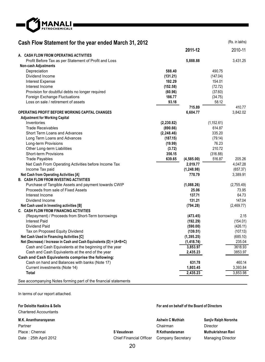

# **Cash Flow Statement for the year ended March 31, 2012** (Rs. in lakhs)

|                                                                      |             | 2011-12     |             | 2010-11    |
|----------------------------------------------------------------------|-------------|-------------|-------------|------------|
| A. CASH FLOW FROM OPERATING ACTIVITIES                               |             |             |             |            |
| Profit Before Tax as per Statement of Profit and Loss                |             | 5,888.88    |             | 3,431.25   |
| <b>Non-cash Adjustments</b>                                          |             |             |             |            |
| Depreciation                                                         | 588.40      |             | 490.75      |            |
| Dividend Income                                                      | (131.21)    |             | (147.04)    |            |
| <b>Interest Expense</b>                                              | 192.29      |             | 154.01      |            |
| Interest Income                                                      | (152.58)    |             | (72.72)     |            |
| Provision for doubtful debts no longer required                      | (60.96)     |             | (37.60)     |            |
| Foreign Exchange Fluctuations                                        | 186.77      |             | (34.75)     |            |
| Loss on sale / retirement of assets                                  | 93.18       |             | 58.12       |            |
|                                                                      |             | 715.89      |             | 410.77     |
| OPERATING PROFIT BEFORE WORKING CAPITAL CHANGES                      |             | 6,604.77    |             | 3,842.02   |
| <b>Adjustment for Working Capital</b>                                |             |             |             |            |
| Inventories                                                          | (2, 230.82) |             | (1, 152.61) |            |
| <b>Trade Receivables</b>                                             | (890.66)    |             | 614.87      |            |
| Short Term Loans and Advances                                        | (2, 248.46) |             | 335.20      |            |
| Long Term Loans and Advances                                         | (187.15)    |             | (79.14)     |            |
| Long-term Provisions                                                 | (19.99)     |             | 76.23       |            |
| Other Long-term Liabilities                                          | (3.72)      |             | 210.72      |            |
| <b>Short-term Provisions</b>                                         | 356.15      |             | (316.88)    |            |
| <b>Trade Payables</b>                                                | 639.65      | (4,585.00)  | 516.87      | 205.26     |
| Net Cash From Operating Activities before Income Tax                 |             | 2.019.77    |             | 4.047.28   |
| Income Tax paid                                                      |             | (1, 248.98) |             | (657.37)   |
| Net Cash from Operating Activities [A]                               |             | 770.79      |             | 3,389.91   |
| <b>B. CASH FLOW FROM INVESTING ACTIVITIES</b>                        |             |             |             |            |
| Purchase of Tangible Assets and payment towards CWIP                 |             | (1,088.26)  |             | (2,755.49) |
| Proceeds from sale of Fixed Assets                                   |             | 25.06       |             | 73.95      |
| Interest Income                                                      |             | 137.71      |             | 64.73      |
| Dividend Income                                                      |             | 131.21      |             | 147.04     |
| Net Cash used in Investing activities [B]                            |             | (794.28)    |             | (2,469.77) |
| C. CASH FLOW FROM FINANCING ACTIVITIES                               |             |             |             |            |
| (Repayment) / Proceeds from Short-Term borrowings                    |             | (473.45)    |             | 2.15       |
| <b>Interest Paid</b>                                                 |             | (192.29)    |             | (154.01)   |
| Dividend Paid                                                        |             | (590.00)    |             | (426.11)   |
| Tax on Proposed Equity Dividend                                      |             | (139.51)    |             | (107.13)   |
| Net Cash Used in Financing Activities [C]                            |             | (1, 395.25) |             | (685.10)   |
| Net (Decrease) / Increase in Cash and Cash Equivalents (D) = (A+B+C) |             | (1, 418.74) |             | 235.04     |
| Cash and Cash Equivalents at the beginning of the year               |             | 3,853.97    |             | 3618.93    |
| Cash and Cash Equivalents at the end of the year                     |             | 2,435.23    |             | 3853.97    |
| Cash and Cash Equivalents comprise the following:                    |             |             |             |            |
| Cash on hand and Balances with banks (Note 17)                       |             | 631.78      |             | 460.14     |
| Current investments (Note 14)                                        |             | 1,803.45    |             | 3,393.84   |
| Total                                                                |             | 2,435.23    |             | 3,853.98   |
| See accompanying Notes forming part of the financial statements      |             |             |             |            |

In terms of our report attached.

| For Deloitte Haskins & Sells<br><b>Chartered Accountants</b> | For and on behalf of the Board of Directors |                         |                          |
|--------------------------------------------------------------|---------------------------------------------|-------------------------|--------------------------|
| M.K. Ananthanarayanan                                        |                                             | <b>Ashwin C Muthiah</b> | Sanjiv Ralph Noronha     |
| Partner                                                      |                                             | Chairman                | Director                 |
| Place: Chennai                                               | S Vasudevan                                 | R Kothandaraman         | Muthukrishnan Ravi       |
| Date: 25th April 2012                                        | <b>Chief Financial Officer</b>              | Company Secretary       | <b>Managing Director</b> |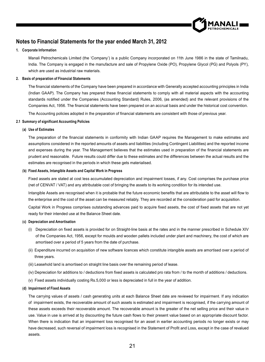

# **Notes to Financial Statements for the year ended March 31, 2012**

#### **1. Corporate Information**

 Manali Petrochemicals Limited (the 'Company') is a public Company incorporated on 11th June 1986 in the state of Tamilnadu, India. The Company is engaged in the manufacture and sale of Propylene Oxide (PO), Propylene Glycol (PG) and Polyols (PY), which are used as industrial raw materials.

#### **2. Basis of preparation of Financial Statements**

The financial statements of the Company have been prepared in accordance with Generally accepted accounting principles in India (Indian GAAP). The Company has prepared these financial statements to comply with all material aspects with the accounting standards notified under the Companies (Accounting Standard) Rules, 2006, (as amended) and the relevant provisions of the Companies Act, 1956. The financial statements have been prepared on an accrual basis and under the historical cost convention.

The Accounting policies adopted in the preparation of financial statements are consistent with those of previous year.

#### **2.1 Summary of significant Accounting Policies**

## (**a) Use of Estimates**

The preparation of the financial statements in conformity with Indian GAAP requires the Management to make estimates and assumptions considered in the reported amounts of assets and liabilities (including Contingent Liabilities) and the reported income and expenses during the year. The Management believes that the estimates used in preparation of the financial statements are prudent and reasonable. Future results could differ due to these estimates and the differences between the actual results and the estimates are recognised in the periods in which these gets materialised.

#### (**b) Fixed Assets, Intangible Assets and Capital Work in Progress**

 Fixed assets are stated at cost less accumulated depreciation and impairment losses, if any. Cost comprises the purchase price (net of CENVAT / VAT) and any attributable cost of bringing the assets to its working condition for its intended use.

Intangible Assets are recognised when it is probable that the future economic benefits that are attributable to the asset will flow to the enterprise and the cost of the asset can be measured reliably. They are recorded at the consideration paid for acquisition.

Capital Work in Progress comprises outstanding advances paid to acquire fixed assets, the cost of fixed assets that are not yet ready for their intended use at the Balance Sheet date.

## (**c) Depreciation and Amortisation**

- (i) Depreciation on fixed assets is provided for on Straight-line basis at the rates and in the manner prescribed in Schedule XIV of the Companies Act, 1956, except for moulds and wooden pallets included under plant and machinery, the cost of which are amortised over a period of 5 years from the date of purchase.
- (ii) Expenditure incurred on acquisition of new software licences which constitute intangible assets are amortised over a period of three years.
- (iii) Leasehold land is amortised on straight line basis over the remaining period of lease.
- (iv) Depreciation for additions to / deductions from fixed assets is calculated pro rata from / to the month of additions / deductions.
- (v) Fixed assets individually costing Rs.5,000 or less is depreciated in full in the year of addition.

#### (**d) Impairment of Fixed Assets**

 The carrying values of assets / cash generating units at each Balance Sheet date are reviewed for impairment. If any indication of impairment exists, the recoverable amount of such assets is estimated and impairment is recognised, if the carrying amount of these assets exceeds their recoverable amount. The recoverable amount is the greater of the net selling price and their value in use. Value in use is arrived at by discounting the future cash flows to their present value based on an appropriate discount factor. When there is indication that an impairment loss recognised for an asset in earlier accounting periods no longer exists or may have decreased, such reversal of impairment loss is recognised in the Statement of Profit and Loss, except in the case of revalued assets.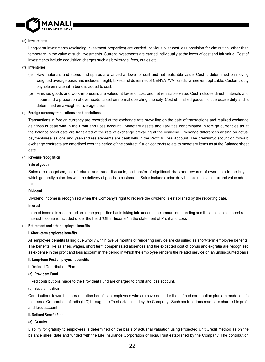

#### (**e) Investments**

 Long-term investments (excluding investment properties) are carried individually at cost less provision for diminution, other than temporary, in the value of such investments. Current investments are carried individually at the lower of cost and fair value. Cost of investments include acquisition charges such as brokerage, fees, duties etc.

#### (**f) Inventories**

- (a) Raw materials and stores and spares are valued at lower of cost and net realizable value. Cost is determined on moving weighted average basis and includes freight, taxes and duties net of CENVAT/VAT credit, wherever applicable. Customs duty payable on material in bond is added to cost.
- (b) Finished goods and work-in-process are valued at lower of cost and net realisable value. Cost includes direct materials and labour and a proportion of overheads based on normal operating capacity. Cost of finished goods include excise duty and is determined on a weighted average basis.

#### (**g) Foreign currency transactions and translations**

 Transactions in foreign currency are recorded at the exchange rate prevailing on the date of transactions and realized exchange gain/loss is dealt with in the Profit and Loss account. Monetary assets and liabilities denominated in foreign currencies as at the balance sheet date are translated at the rate of exchange prevailing at the year-end. Exchange differences arising on actual payments/realisations and year-end restatements are dealt with in the Profit & Loss Account. The premium/discount on forward exchange contracts are amortised over the period of the contract if such contracts relate to monetary items as at the Balance sheet date.

#### (**h) Revenue recognition**

#### **Sale of goods**

Sales are recognised, net of returns and trade discounts, on transfer of significant risks and rewards of ownership to the buyer, which generally coincides with the delivery of goods to customers. Sales include excise duty but exclude sales tax and value added tax.

#### **Dividend**

Dividend Income is recognised when the Company's right to receive the dividend is established by the reporting date.

#### **Interest**

 Interest income is recognised on a time proportion basis taking into account the amount outstanding and the applicable interest rate. Interest Income is included under the head "Other Income" in the statement of Profit and Loss.

#### (**i) Retirement and other employee benefits**

#### **I. Short-term employee benefits**

All employee benefits falling due wholly within twelve months of rendering service are classified as short-term employee benefits. The benefits like salaries, wages, short term compensated absences and the expected cost of bonus and exgratia are recognised as expense in the profit and loss account in the period in which the employee renders the related service on an undiscounted basis

#### **II. Long-term Post employment benefits**

i. Defined Contribution Plan

#### **(a) Provident Fund**

Fixed contributions made to the Provident Fund are charged to profit and loss account.

#### **(b) Superannuation**

Contributions towards superannuation benefits to employees who are covered under the defined contribution plan are made to Life Insurance Corporation of India (LIC) through the Trust established by the Company. Such contributions made are charged to profit and loss account.

#### **ii. Defined Benefit Plan**

#### **(a) Gratuity**

 Liability for gratuity to employees is determined on the basis of actuarial valuation using Projected Unit Credit method as on the balance sheet date and funded with the Life Insurance Corporation of India/Trust established by the Company. The contribution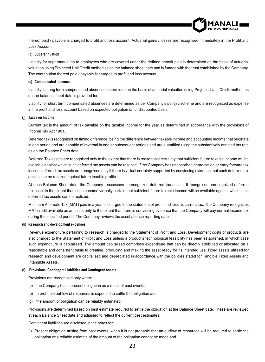

thereof paid / payable is charged to profit and loss account. Actuarial gains / losses are recognised immediately in the Profit and Loss Account.

#### **(b) Superannuation**

Liability for superannuation to employees who are covered under the defined benefit plan is determined on the basis of actuarial valuation using Projected Unit Credit method as on the balance sheet date and is funded with the trust established by the Company. The contribution thereof paid / payable is charged to profit and loss account.

#### **(c) Compensated absences**

 Liability for long term compensated absences determined on the basis of actuarial valuation using Projected Unit Credit method as on the balance sheet date is provided for.

 Liability for short term compensated absences are determined as per Company's policy / scheme and are recognized as expense in the profit and loss account based on expected obligation on undiscounted basis.

#### **(j) Taxes on Income**

 Current tax is the amount of tax payable on the taxable income for the year as determined in accordance with the provisions of Income Tax Act 1961.

 Deferred tax is recognized on timing difference, being the difference between taxable income and accounting income that originate in one period and are capable of reversal in one or subsequent periods and are quantified using the substantively enacted tax rate as on the Balance Sheet date.

Deferred Tax assets are recognised only to the extent that there is reasonable certainty that sufficient future taxable income will be available against which such deferred tax assets can be realized. If the Company has unabsorbed depreciation or carry forward tax losses, deferred tax assets are recognised only if there is virtual certainty supported by convincing evidence that such deferred tax assets can be realized against future taxable profits.

 At each Balance Sheet date, the Company reassesses unrecognized deferred tax assets. It recognises unrecognized deferred tax asset to the extent that it has become virtually certain that sufficient future taxable income will be available against which such deferred tax assets can be realized.

Minimum Alternate Tax (MAT) paid in a year is charged to the statement of profit and loss as current tax. The Company recognizes MAT credit available as an asset only to the extent that there is convincing evidence that the Company will pay normal income tax during the specified period. The Company reviews the asset at each reporting date.

#### **(k) Research and development expenses**

Revenue expenditure pertaining to research is charged to the Statement of Profit and Loss. Development costs of products are also charged to the Statement of Profit and Loss unless a product's technological feasibility has been established, in which case such expenditure is capitalised. The amount capitalised comprises expenditure that can be directly attributed or allocated on a reasonable and consistent basis to creating, producing and making the asset ready for its intended use. Fixed assets utilised for research and development are capitalised and depreciated in accordance with the policies stated for Tangible Fixed Assets and Intangible Assets.

#### **(l) Provisions, Contingent Liabilities and Contingent Assets**

Provisions are recognised only when:

- (a) the Company has a present obligation as a result of past events;
- (b) a probable outflow of resources is expected to settle the obligation and
- (c) the amount of obligation can be reliably estimated.

 Provisions are determined based on best estimate required to settle the obligation at the Balance Sheet date. These are reviewed at each Balance Sheet date and adjusted to reflect the current best estimates.

Contingent liabilities are disclosed in the notes for:

(i) Present obligation arising from past events, when it is not probable that an outflow of resources will be required to settle the obligation or a reliable estimate of the amount of the obligation cannot be made and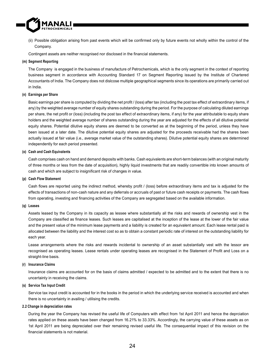

(ii) Possible obligation arising from past events which will be confirmed only by future events not wholly within the control of the Company.

Contingent assets are neither recognised nor disclosed in the financial statements.

#### **(m) Segment Reporting**

 The Company is engaged in the business of manufacture of Petrochemicals, which is the only segment in the context of reporting business segment in accordance with Accounting Standard 17 on Segment Reporting issued by the Institute of Chartered Accountants of India. The Company does not dislcose multiple geographical segments since its operations are primarily carried out in India.

#### **(n) Earnings per Share**

Basic earnings per share is computed by dividing the net profit / (loss) after tax (including the post tax effect of extraordinary items, if any) by the weighted average number of equity shares outstanding during the period. For the purpose of calculating diluted earnings per share, the net profit or (loss) (including the post tax effect of extraordinary items, if any) for the year attributable to equity share holders and the weighted average number of shares outstanding during the year are adjusted for the effects of all dilutive potential equity shares. Potential dilutive equity shares are deemed to be converted as at the beginning of the period, unless they have been issued at a later date. The dilutive potential equity shares are adjusted for the proceeds receivable had the shares been actually issued at fair value (i.e., average market value of the outstanding shares). Dilutive potential equity shares are determined independently for each period presented.

#### **(o) Cash and Cash Equivalents**

Cash comprises cash on hand and demand deposits with banks. Cash equivalents are short-term balances (with an original maturity of three months or less from the date of acquisition), highly liquid investments that are readily convertible into known amounts of cash and which are subject to insignificant risk of changes in value.

#### **(p) Cash Flow Statement**

Cash flows are reported using the indirect method, whereby profit / (loss) before extraordinary items and tax is adjusted for the effects of transactions of non-cash nature and any deferrals or accruals of past or future cash receipts or payments. The cash flows from operating, investing and financing activities of the Company are segregated based on the available information.

#### **(q) Leases**

 Assets leased by the Company in its capacity as lessee where substantially all the risks and rewards of ownership vest in the Company are classified as finance leases. Such leases are capitalised at the inception of the lease at the lower of the fair value and the present value of the minimum lease payments and a liability is created for an equivalent amount. Each lease rental paid is allocated between the liability and the interest cost so as to obtain a constant periodic rate of interest on the outstanding liability for each year.

 Lease arrangements where the risks and rewards incidental to ownership of an asset substantially vest with the lessor are recognised as operating leases. Lease rentals under operating leases are recognised in the Statement of Profit and Loss on a straight-line basis.

## **(r) Insurance Claims**

 Insurance claims are accounted for on the basis of claims admitted / expected to be admitted and to the extent that there is no uncertainty in receiving the claims.

#### **(s) Service Tax Input Credit**

 Service tax input credit is accounted for in the books in the period in which the underlying service received is accounted and when there is no uncertainty in availing / utilising the credits.

#### **2.2 Change in depreciation rates**

 During the year the Company has revised the useful life of Computers with effect from 1st April 2011 and hence the deprciation rates applied on these assets have been changed from 16.21% to 33.33%. Accordingly, the carrying value of these assets as on 1st April 2011 are being depreciated over their remaining revised useful life. The consequential impact of this revision on the financial statements is not material.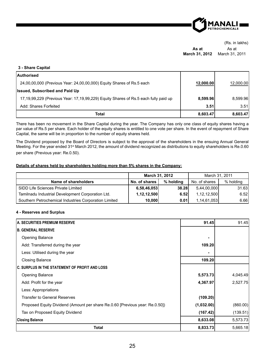

**As at March 31, 2012** As at March 31, 2011

## **3 - Share Capital**

| <b>Authorised</b>                                                                   |           |           |
|-------------------------------------------------------------------------------------|-----------|-----------|
| 24,00,00,000 (Previous Year: 24,00,00,000) Equity Shares of Rs.5 each               | 12,000.00 | 12,000.00 |
| <b>Issued, Subscribed and Paid Up</b>                                               |           |           |
| 17,19,99,229 (Previous Year: 17,19,99,229) Equity Shares of Rs.5 each fully paid up | 8.599.96  | 8.599.96  |
| Add: Shares Forfeited                                                               | 3.51      | 3.51      |
| Total                                                                               | 8,603.47  | 8,603.47  |

There has been no movement in the Share Capital during the year. The Company has only one class of equity shares having a par value of Rs.5 per share. Each holder of the equity shares is entitled to one vote per share. In the event of repayment of Share Capital, the same will be in proportion to the number of equity shares held.

The Dividend proposed by the Board of Directors is subject to the approval of the shareholders in the ensuing Annual General Meeting. For the year ended 31st March 2012, the amount of dividend recognized as distributions to equity shareholders is Re.0.60 per share (Previous year: Re.0.50).

#### **Details of shares held by shareholders holding more than 5% shares in the Company:**

|                                                       | March 31, 2012 |           | March 31, 2011 |           |
|-------------------------------------------------------|----------------|-----------|----------------|-----------|
| Name of shareholders                                  | No. of shares  | % holdina | No. of shares  | % holding |
| SIDD Life Sciences Private Limited                    | 6,58,46,053    | 38.28     | 5,44,00,000    | 31.63     |
| Tamilnadu Industrial Development Corporation Ltd.     | 1,12,12,500    | 6.52      | 1.12.12.500    | 6.52      |
| Southern Petrochemical Industries Corporation Limited | 10.000         | 0.01      | 1.14.61.053    | 6.66      |

#### **4 - Reserves and Surplus**

| ÍA. SECURITIES PREMIUM RESERVE                                               | 91.45      | 91.45    |
|------------------------------------------------------------------------------|------------|----------|
| IB. GENERAL RESERVE                                                          |            |          |
| <b>Opening Balance</b>                                                       |            |          |
| Add: Transferred during the year                                             | 109.20     |          |
| Less: Utilised during the year                                               |            |          |
| <b>Closing Balance</b>                                                       | 109.20     |          |
| <b>IC. SURPLUS IN THE STATEMENT OF PROFIT AND LOSS</b>                       |            |          |
| <b>Opening Balance</b>                                                       | 5,573.73   | 4,045.49 |
| Add: Profit for the year                                                     | 4,367.97   | 2,527.75 |
| Less: Appropriations                                                         |            |          |
| <b>Transfer to General Reserves</b>                                          | (109.20)   |          |
| Proposed Equity Dividend (Amount per share Re.0.60 [Previous year: Re.0.50]) | (1,032.00) | (860.00) |
| Tax on Proposed Equity Dividend                                              | (167.42)   | (139.51) |
| <b>Closing Balance</b>                                                       | 8,633.08   | 5,573.73 |
| <b>Total</b>                                                                 | 8,833.73   | 5,665.18 |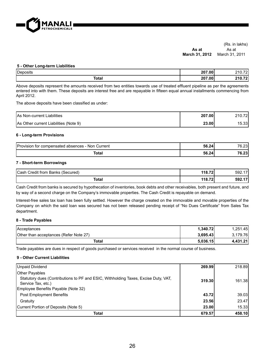

#### (Rs. in lakhs) **As at March 31, 2012** As at March 31, 2011

#### **5 - Other Long-term Liabilities**

| Deposits     | 207.00 | $\sim$ $\sim$<br>. .<br><u>_ 1 v</u> |
|--------------|--------|--------------------------------------|
| <b>Total</b> | 207.00 | $\sim$                               |

Above deposits represent the amounts received from two entities towards use of treated effluent pipeline as per the agreements entered into with them. These deposits are interest free and are repayable in fifteen equal annual installments commencing from April 2012.

The above deposits have been classified as under:

| <b>As Non-current Liabilities</b>     | 207.00 | 210.72 |
|---------------------------------------|--------|--------|
| As Other current Liabilities (Note 9) | 23.00  | 15.33  |

#### **6 - Long-term Provisions**

| Provision for compensated absences - Non Current | 56.24 | ົດລ<br>. ت∠.ס ֿ |
|--------------------------------------------------|-------|-----------------|
| Total                                            | 56.24 | $\sim$<br>ט⊾ט   |

#### **7 - Short-term Borrowings**

| Cash<br>(Secured)<br>Banks<br>Credit from | 118.72 | $\overline{\phantom{a}}$<br>592.1 |
|-------------------------------------------|--------|-----------------------------------|
| Total                                     | 118.72 | 47<br>592.17                      |

Cash Credit from banks is secured by hypothecation of inventories, book debts and other receivables, both present and future, and by way of a second charge on the Company's immovable properties. The Cash Credit is repayable on demand.

Interest-free sales tax loan has been fully settled. However the charge created on the immovable and movable properties of the Company on which the said loan was secured has not been released pending receipt of "No Dues Certificate" from Sales Tax department.

## **8 - Trade Payables**

| <b>Acceptances</b>                     | 1.340.72 | 1.251.45 |
|----------------------------------------|----------|----------|
| Other than acceptances (Refer Note 27) | 3.695.43 | 3.179.76 |
| Total                                  | 5.036.15 | 4.431.21 |

Trade payables are dues in respect of goods purchased or services received in the normal course of business.

## **9 - Other Current Liabilities**

| Unpaid Dividend                                                                                             | 269.99 | 218.89 |
|-------------------------------------------------------------------------------------------------------------|--------|--------|
| <b>Other Payables</b><br>Statutory dues (Contributions to PF and ESIC, Withholding Taxes, Excise Duty, VAT, |        |        |
| Service Tax, etc.)                                                                                          | 319.30 | 161.38 |
| Employee Benefits Payable (Note 32)                                                                         |        |        |
| <b>Post Employment Benefits</b>                                                                             | 43.72  | 39.03  |
| Gratuity                                                                                                    | 23.56  | 23.47  |
| Current Portion of Deposits (Note 5)                                                                        | 23.00  | 15.33  |
| Total                                                                                                       | 679.57 | 458.10 |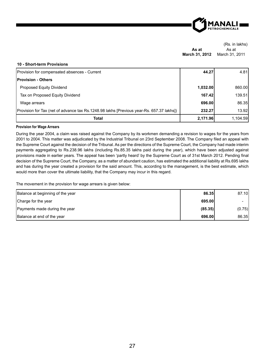

|                | (Rs. in lakhs) |
|----------------|----------------|
| As at          | As at          |
| March 31, 2012 | March 31, 2011 |

#### **10 - Short-term Provisions**

| Provision for compensated absences - Current                                             | 44.27    | 4.81     |
|------------------------------------------------------------------------------------------|----------|----------|
| <b>Provision - Others</b>                                                                |          |          |
| Proposed Equity Dividend                                                                 | 1.032.00 | 860.00   |
| Tax on Proposed Equity Dividend                                                          | 167.42   | 139.51   |
| Wage arrears                                                                             | 696.00   | 86.35    |
| Provision for Tax (net of advance tax Rs.1248.98 lakhs [Previous year-Rs. 657.37 lakhs]) | 232.27   | 13.92    |
| Total                                                                                    | 2,171.96 | 1.104.59 |

#### **Provision for Wage Arrears**

During the year 2004, a claim was raised against the Company by its workmen demanding a revision to wages for the years from 2001 to 2004. This matter was adjudicated by the Industrial Tribunal on 23rd September 2008. The Company filed an appeal with the Supreme Court against the decision of the Tribunal. As per the directions of the Supreme Court, the Company had made interim payments aggregating to Rs.238.96 lakhs (including Rs.85.35 lakhs paid during the year), which have been adjusted against provisions made in earlier years. The appeal has been 'partly heard' by the Supreme Court as of 31st March 2012. Pending final decision of the Supreme Court, the Company, as a matter of abundant caution, has estimated the additional liability at Rs.695 lakhs and has during the year created a provision for the said amount. This, according to the management, is the best estimate, which would more than cover the ultimate liability, that the Company may incur in this regard.

The movement in the provision for wage arrears is given below:

| Balance at beginning of the year | 86.35   | 87.10  |
|----------------------------------|---------|--------|
| Charge for the year              | 695.00  | ۰      |
| Payments made during the year    | (85.35) | (0.75) |
| Balance at end of the year       | 696.00  | 86.35  |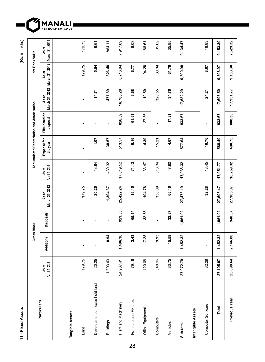**11 - Fixed Assets** (Rs. in lakhs) 11 - Fixed Assets

(Rs. in lakhs)

MA<sub>PETRO</sub>

**1ANALI**<br>Trochemicals

|                                |                        | <b>Gross Block</b> |                  |                         |                        | Accumulated Depreciation and Amortisation |                           |                                        | Net Book Value |                         |
|--------------------------------|------------------------|--------------------|------------------|-------------------------|------------------------|-------------------------------------------|---------------------------|----------------------------------------|----------------|-------------------------|
| Particulars                    | April 1, 2011<br>As at | Additions          | <b>Disposals</b> | March 31, 2012<br>As at | April 1, 2011<br>As at | Expense for<br>the year                   | Eliminated on<br>disposal | March 31, 2012 March 31, 2012<br>As at | As at          | March 31, 2011<br>As at |
|                                |                        |                    |                  |                         |                        |                                           |                           |                                        |                |                         |
| Tangible Assets                |                        |                    |                  |                         |                        |                                           |                           |                                        |                |                         |
| Land                           | 179.75                 |                    | $\blacksquare$   | 179.75                  | ï                      | ı                                         |                           |                                        | 179.75         | 179.75                  |
| Development on lease hold land | 20.25                  |                    | ×                | 20.25                   | 13.64                  | 1.07                                      | f,                        | 14.71                                  | 5.54           | 6.61                    |
| <b>Buildings</b>               | 1,303.43               | 0.94               | ×                | 1,304.37                | 439.32                 | 38.57                                     |                           | 477.89                                 | 826.48         | 864.11                  |
| Plant and Machinery            | 24,937.41              | 1,406.16           | 921.33           | 25,422.24               | 17,019.52              | 513.57                                    | 826.89                    | 16,706.20                              | 8,716.04       | 7,917.89                |
| Fumiture and Fixtures          | 79.16                  | 2.43               | 65.14            | 16.45                   | 71.13                  | 0.16                                      | 61.61                     | 9.68                                   | 6.77           | 8.03                    |
| Office Equipment               | 120.08                 | 17.28              | 32.58            | 104.78                  | 33.47                  | 4.39                                      | 27.36                     | 10.50                                  | 94.28          | 86.61                   |
| Computers                      | 348.96                 | 9.93               |                  | 358.89                  | 313.34                 | 15.21                                     |                           | 328.55                                 | 30.34          | 35.62                   |
| Vehicles                       | 83.75                  | 15.58              | 32.87            | 66.46                   | 47.90                  | 4.67                                      | 17.81                     | 34.76                                  | 31.70          | 35.85                   |
| Sub-total                      | 27,072.79              | 1,452.32           | 1,051.92         | 27,473.19               | 17,938.32              | 577.64                                    | 933.67                    | 17,582.29                              | 9,890.90       | 9,134.47                |
| Intangible Assets              |                        |                    |                  |                         |                        |                                           |                           |                                        |                |                         |
| Computer Software              | 32.28                  | ï                  |                  | 32.28                   | 13.45                  | 10.76                                     | ï                         | 24.21                                  | 8.07           | 18.83                   |
| Total                          | 27,105.07              | 1,452.32           | 1,051.92         | 27,505.47               | 17,951.77              | 588.40                                    | 933.67                    | 17,606.50                              | 9,898.97       | 9,153.30                |
| Previous Year                  | 25,898.64              | 2,146.80           | 940.37           | 27,105.07               | 18,269.32              | 490.75                                    | 808.30                    | 17,951.77                              | 9,153.30       | 7,629.32                |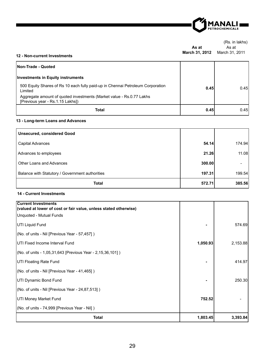

#### (Rs. in lakhs) **As at**  As at

# **March 31, 2012** March 31, 2011 **12 - Non-current Investments**

| Non-Trade - Quoted                                                                                       |      |      |
|----------------------------------------------------------------------------------------------------------|------|------|
| Investments in Equity instruments                                                                        |      |      |
| 500 Equity Shares of Rs 10 each fully paid-up in Chennai Petroleum Corporation<br>Limited                | 0.45 | 0.45 |
| Aggregate amount of quoted investments (Market value - Rs.0.77 Lakhs<br>[Previous year - Rs.1.15 Lakhs]) |      |      |
| Total                                                                                                    | 0.45 | 0.45 |

## **13 - Long-term Loans and Advances**

| <b>Unsecured, considered Good</b>               |        |        |
|-------------------------------------------------|--------|--------|
| Capital Advances                                | 54.14  | 174.94 |
| Advances to employees                           | 21.26  | 11.08  |
| Other Loans and Advances                        | 300.00 |        |
| Balance with Statutory / Government authorities | 197.31 | 199.54 |
| <b>Total</b>                                    | 572.71 | 385.56 |

## **14 - Current Investments**

| <b>Current Investments</b><br>(valued at lower of cost or fair value, unless stated otherwise) |          |          |
|------------------------------------------------------------------------------------------------|----------|----------|
| Unquoted - Mutual Funds                                                                        |          |          |
| UTI Liquid Fund                                                                                |          | 574.69   |
| (No. of units - Nil [Previous Year - 57,457])                                                  |          |          |
| <b>IUTI Fixed Income Interval Fund</b>                                                         | 1,050.93 | 2,153.88 |
| $(No. of units - 1,05,31,643)$ [Previous Year - 2,15,36,101])                                  |          |          |
| UTI Floating Rate Fund                                                                         |          | 414.97   |
| (No. of units - Nil [Previous Year - 41,465])                                                  |          |          |
| UTI Dynamic Bond Fund                                                                          |          | 250.30   |
| $(No. of units - Nil [Previous Year - 24,87,513])$                                             |          |          |
| UTI Money Market Fund                                                                          | 752.52   |          |
| (No. of units - 74,999 [Previous Year - Nil])                                                  |          |          |
| <b>Total</b>                                                                                   | 1,803.45 | 3,393.84 |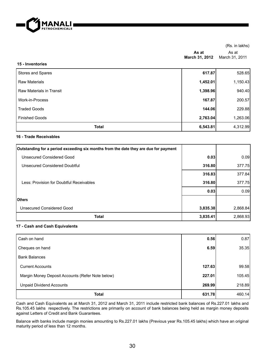

| (Rs. in lakhs) |
|----------------|
| As at          |
| March 31, 2011 |
|                |

| 19 - IIIV GIILVIIGS      |          |          |
|--------------------------|----------|----------|
| Stores and Spares        | 617.87   | 528.65   |
| <b>Raw Materials</b>     | 1,452.01 | 1,150.43 |
| Raw Materials in Transit | 1,398.96 | 940.40   |
| Work-in-Process          | 167.87   | 200.57   |
| <b>Traded Goods</b>      | 144.06   | 229.88   |
| <b>Finished Goods</b>    | 2,763.04 | 1,263.06 |
| <b>Total</b>             | 6,543.81 | 4,312.99 |

## **16 - Trade Receivables**

**15 - Inventories**

| Outstanding for a period exceeding six months from the date they are due for payment |          |          |
|--------------------------------------------------------------------------------------|----------|----------|
| Unsecured Considered Good                                                            | 0.03     | 0.09     |
| Unsecured Considered Doubtful                                                        | 316.80   | 377.75   |
|                                                                                      | 316.83   | 377.84   |
| Less: Provision for Doubtful Receivables                                             | 316.80   | 377.75   |
|                                                                                      | 0.03     | 0.09     |
| <b>Others</b>                                                                        |          |          |
| Unsecured Considered Good                                                            | 3,835.38 | 2,868.84 |
| <b>Total</b>                                                                         | 3,835.41 | 2,868.93 |

## **17 - Cash and Cash Equivalents**

| Cash on hand                                     | 0.56   | 0.87   |
|--------------------------------------------------|--------|--------|
| Cheques on hand                                  | 6.59   | 35.35  |
| <b>Bank Balances</b>                             |        |        |
| <b>Current Accounts</b>                          | 127.63 | 99.58  |
| Margin Money Deposit Accounts (Refer Note below) | 227.01 | 105.45 |
| <b>Unpaid Dividend Accounts</b>                  | 269.99 | 218.89 |
| <b>Total</b>                                     | 631.78 | 460.14 |

Cash and Cash Equivalents as at March 31, 2012 and March 31, 2011 include restricted bank balances of Rs.227.01 lakhs and Rs.105.45 lakhs respectively. The restrictions are primarily on account of bank balances being held as margin money deposits against Letters of Credit and Bank Guarantees.

Balance with banks include margin monies amounting to Rs.227.01 lakhs (Previous year Rs.105.45 lakhs) which have an original maturity period of less than 12 months.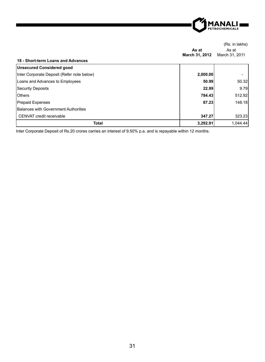

|                                            | As at<br>March 31, 2012 | As at<br>March 31, 2011 |
|--------------------------------------------|-------------------------|-------------------------|
| 18 - Short-term Loans and Advances         |                         |                         |
| Unsecured Considered good                  |                         |                         |
| Inter Corporate Deposit (Refer note below) | 2,000.00                |                         |
| Loans and Advances to Employees            | 50.99                   | 50.32                   |
| Security Deposits                          | 22.99                   | 9.79                    |
| <b>IOthers</b>                             | 784.43                  | 512.92                  |
| <b>Prepaid Expenses</b>                    | 87.23                   | 148.18                  |
| Balances with Government Authorities       |                         |                         |
| CENVAT credit receivable                   | 347.27                  | 323.23                  |
| <b>Total</b>                               | 3,292.91                | 1.044.44                |

Inter Corporate Deposit of Rs.20 crores carries an interest of 9.50% p.a. and is repayable within 12 months.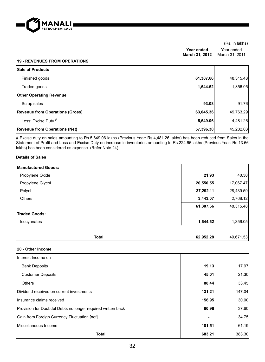

**Year ended March 31, 2012** March 31, 2011 Year ended

#### **19 - REVENUES FROM OPERATIONS**

| <b>Sale of Products</b>                |           |           |
|----------------------------------------|-----------|-----------|
| Finished goods                         | 61,307.66 | 48,315.48 |
| Traded goods                           | 1,644.62  | 1,356.05  |
| <b>Other Operating Revenue</b>         |           |           |
| Scrap sales                            | 93.08     | 91.76     |
| <b>Revenue from Operations (Gross)</b> | 63,045.36 | 49,763.29 |
| Less: Excise Duty #                    | 5,649.06  | 4,481.26  |
| <b>Revenue from Operations (Net)</b>   | 57,396.30 | 45,282.03 |

# Excise duty on sales amounting to Rs.5,649.06 lakhs (Previous Year: Rs.4,481.26 lakhs) has been reduced from Sales in the Statement of Profit and Loss and Excise Duty on increase in inventories amounting to Rs.224.66 lakhs (Previous Year: Rs.13.66 lakhs) has been considered as expense. (Refer Note 24).

#### **Details of Sales**

| <b>Manufactured Goods:</b> |           |           |
|----------------------------|-----------|-----------|
| Propylene Oxide            | 21.93     | 40.30     |
| Propylene Glycol           | 20,550.55 | 17,067.47 |
| Polyol                     | 37,292.11 | 28,439.59 |
| <b>Others</b>              | 3,443.07  | 2,768.12  |
|                            | 61,307.66 | 48,315.48 |
| <b>Traded Goods:</b>       |           |           |
| Isocyanates                | 1,644.62  | 1,356.05  |
|                            |           |           |
| <b>Total</b>               | 62,952.28 | 49,671.53 |

#### **20 - Other Income**

| Interest Income on                                           |        |        |
|--------------------------------------------------------------|--------|--------|
| <b>Bank Deposits</b>                                         | 19.13  | 17.97  |
| <b>Customer Deposits</b>                                     | 45.01  | 21.30  |
| Others                                                       | 88.44  | 33.45  |
| Dividend received on current investments                     | 131.21 | 147.04 |
| Insurance claims received                                    | 156.95 | 30.00  |
| Provision for Doubtful Debts no longer required written back | 60.96  | 37.60  |
| Gain from Foreign Currency Fluctuation [net]                 |        | 34.75  |
| Miscellaneous Income                                         | 181.51 | 61.19  |
| <b>Total</b>                                                 | 683.21 | 383.30 |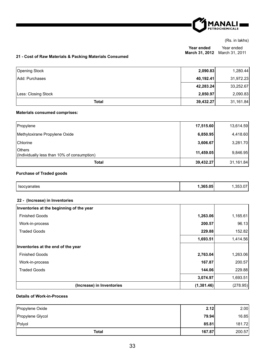

**Year ended March 31, 2012** March 31, 2011 Year ended

## **21 - Cost of Raw Materials & Packing Materials Consumed**

| Opening Stock         | 2,090.83  | 1,280.44  |
|-----------------------|-----------|-----------|
| <b>Add: Purchases</b> | 40,192.41 | 31,972.23 |
|                       | 42,283.24 | 33,252.67 |
| Less: Closing Stock   | 2,850.97  | 2,090.83  |
| Total                 | 39,432.27 | 31,161.84 |

## **Materials consumed comprises:**

| Propylene                                                      | 17,515.60 | 13,614.59 |
|----------------------------------------------------------------|-----------|-----------|
| Methyloxirane Propylene Oxide                                  | 6,850.95  | 4,418.60  |
| <b>Chlorine</b>                                                | 3,606.67  | 3,281.70  |
| <b>I</b> Others<br>(Individually less than 10% of consumption) | 11,459.05 | 9,846.95  |
| Total                                                          | 39,432.27 | 31,161.84 |

## **Purchase of Traded goods**

| .365.05<br>Isoc<br>anates<br>. |
|--------------------------------|
|--------------------------------|

## **22 - (Increase) in Inventories**

| Inventories at the beginning of the year |            |          |
|------------------------------------------|------------|----------|
| <b>Finished Goods</b>                    | 1,263.06   | 1,165.61 |
| Work-in-process                          | 200.57     | 96.13    |
| <b>Traded Goods</b>                      | 229.88     | 152.82   |
|                                          | 1,693.51   | 1,414.56 |
| Inventories at the end of the year       |            |          |
| <b>Finished Goods</b>                    | 2,763.04   | 1,263.06 |
| Work-in-process                          | 167.87     | 200.57   |
| <b>Traded Goods</b>                      | 144.06     | 229.88   |
|                                          | 3,074.97   | 1,693.51 |
| (Increase) in Inventories                | (1,381.46) | (278.95) |

## **Details of Work-in-Process**

| Propylene Oxide  | 2.12   | 2.00   |
|------------------|--------|--------|
| Propylene Glycol | 79.94  | 16.85  |
| Polyol           | 85.81  | 181.72 |
| <b>Total</b>     | 167.87 | 200.57 |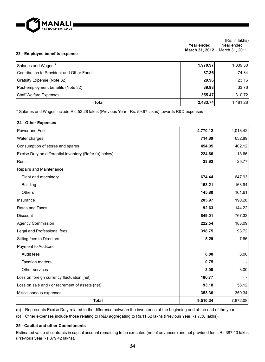

| 23 - Employee benefits expense            | Year ended<br>March 31, 2012 | Year ended<br>March 31, 2011 |
|-------------------------------------------|------------------------------|------------------------------|
| Salaries and Wages *                      | 1,970.97                     | 1,039.30                     |
| Contribution to Provident and Other Funds | 87.36                        | 74.34                        |
| Gratuity Expense (Note 32)                | 29.96                        | 23.16                        |
| Post-employment benefits (Note 32)        | 39.98                        | 33.76                        |
| <b>Staff Welfare Expenses</b>             | 355.47                       | 310.72                       |
| <b>Total</b>                              | 2,483.74                     | 1,481.28                     |

\* Salaries and Wages include Rs. 53.28 lakhs (Previous Year - Rs. 59.97 lakhs) towards R&D expenses

#### **24 - Other Expenses**

| 353.36   | 350.34   |
|----------|----------|
| 93.18    | 58.12    |
| 186.77   |          |
| 3.00     | 3.00     |
| 0.75     |          |
| 8.00     | 8.00     |
|          |          |
| 5.29     | 7.66     |
| 318.75   | 93.72    |
| 222.54   | 183.09   |
| 849.01   | 767.33   |
| 92.63    | 144.22   |
| 205.97   | 190.26   |
| 145.80   | 161.61   |
| 163.21   | 163.94   |
| 674.44   | 647.93   |
|          |          |
| 23.92    | 25.77    |
| 224.66   | 13.66    |
| 454.05   | 402.12   |
| 714.89   | 632.89   |
| 4,770.12 | 4,018.42 |
|          |          |

(a) Represents Excise Duty related to the difference between the inventories at the beginning and at the end of the year.

(b) Other expenses include those relating to R&D aggregating to Rs.11.62 lakhs (Previous Year Rs.7.30 lakhs).

### **25 - Capital and other Commitments**

Estimated value of contracts in capital account remaining to be executed (net of advances) and not provided for is Rs.387.13 lakhs (Previous year Rs.379.42 lakhs).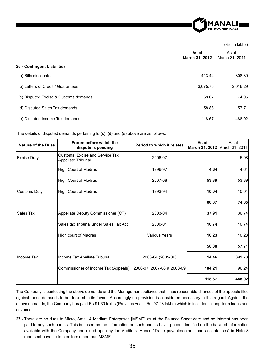

|                                       | As at<br>March 31, 2012 | As at<br>March 31, 2011 |
|---------------------------------------|-------------------------|-------------------------|
| 26 - Contingent Liabilities           |                         |                         |
| (a) Bills discounted                  | 413.44                  | 308.39                  |
| (b) Letters of Credit / Guarantees    | 3,075.75                | 2,016.29                |
| (c) Disputed Excise & Customs demands | 68.07                   | 74.05                   |
| (d) Disputed Sales Tax demands        | 58.88                   | 57.71                   |
| (e) Disputed Income Tax demands       | 118.67                  | 488.02                  |

The details of disputed demands pertaining to (c), (d) and (e) above are as follows:

| <b>Nature of the Dues</b> | Forum before which the<br>dispute is pending          | Period to which it relates | As at<br>March 31, 2012 March 31, 2011 | As at  |
|---------------------------|-------------------------------------------------------|----------------------------|----------------------------------------|--------|
| <b>Excise Duty</b>        | Customs, Excise and Service Tax<br>Appellate Tribunal | 2006-07                    |                                        | 5.98   |
|                           | <b>High Court of Madras</b>                           | 1996-97                    | 4.64                                   | 4.64   |
|                           | <b>High Court of Madras</b>                           | 2007-08                    | 53.39                                  | 53.39  |
| Customs Duty              | <b>High Court of Madras</b>                           | 1993-94                    | 10.04                                  | 10.04  |
|                           |                                                       |                            | 68.07                                  | 74.05  |
| <b>Sales Tax</b>          | Appellate Deputy Commissioner (CT)                    | 2003-04                    | 37.91                                  | 36.74  |
|                           | Sales tax Tribunal under Sales Tax Act                | 2000-01                    | 10.74                                  | 10.74  |
|                           | High court of Madras                                  | <b>Various Years</b>       | 10.23                                  | 10.23  |
|                           |                                                       |                            | 58.88                                  | 57.71  |
| Income Tax                | Income Tax Apellate Tribunal                          | 2003-04 (2005-06)          | 14.46                                  | 391.78 |
|                           | Commissioner of Income Tax (Appeals)                  | 2006-07, 2007-08 & 2008-09 | 104.21                                 | 96.24  |
|                           |                                                       |                            | 118.67                                 | 488.02 |

The Company is contesting the above demands and the Management believes that it has reasonable chances of the appeals filed against these demands to be decided in its favour. Accordingly no provision is considered necessary in this regard. Against the above demands, the Company has paid Rs.91.30 lakhs (Previous year - Rs. 97.28 lakhs) which is included in long-term loans and advances.

**27 -** There are no dues to Micro, Small & Medium Enterprises [MSME] as at the Balance Sheet date and no interest has been paid to any such parties. This is based on the information on such parties having been identified on the basis of information available with the Company and relied upon by the Auditors. Hence "Trade payables-other than acceptances" in Note 8 represent payable to creditors other than MSME.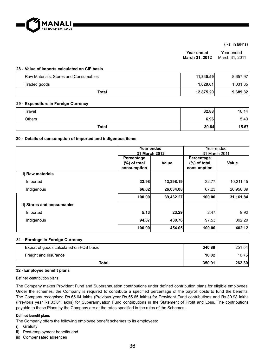

**Year ended March 31, 2012** Year ended March 31, 2011

#### **28 - Value of Imports calculated on CIF basis**

| Raw Materials, Stores and Consumables | 11,845.59 | 8.657.97 |
|---------------------------------------|-----------|----------|
| Traded goods                          | 1.029.61  | 1.031.35 |
| Total                                 | 12.875.20 | 9.689.32 |

#### **29 - Expenditure in Foreign Currency**

| Travel       | 32.88 | 10.14 |
|--------------|-------|-------|
| Others       | 6.96  | 5.43  |
| <b>Total</b> | 39.84 | 15.57 |

#### **30 - Details of consumption of imported and indigenous items**

|                            |                 | Year ended    | Year ended      |           |
|----------------------------|-----------------|---------------|-----------------|-----------|
|                            |                 | 31 March 2012 | 31 March 2011   |           |
|                            | Percentage      |               | Percentage      |           |
|                            | $(\%)$ of total | Value         | $(\%)$ of total | Value     |
|                            | consumption     |               | consumption     |           |
| i) Raw materials           |                 |               |                 |           |
| Imported                   | 33.98           | 13,398.19     | 32.77           | 10,211.45 |
| Indigenous                 | 66.02           | 26,034.08     | 67.23           | 20,950.39 |
|                            | 100.00          | 39,432.27     | 100.00          | 31,161.84 |
| ii) Stores and consumables |                 |               |                 |           |
| Imported                   | 5.13            | 23.29         | 2.47            | 9.92      |
| Indigenous                 | 94.87           | 430.76        | 97.53           | 392.20    |
|                            | 100.00          | 454.05        | 100.00          | 402.12    |

#### **31 - Earnings in Foreign Currency**

| Export of goods calculated on FOB basis | 340.89 | 251.54 |
|-----------------------------------------|--------|--------|
| Freight and Insurance                   | 10.02  | 10.76I |
| Total                                   | 350.91 | 262.30 |

#### **32 - Employee bene¿ t plans**

#### **Defined contribution plans**

The Company makes Provident Fund and Superannuation contributions under defined contribution plans for eligible employees. Under the schemes, the Company is required to contribute a specified percentage of the payroll costs to fund the benefits. The Company recognised Rs.65.64 lakhs (Previous year Rs.55.65 lakhs) for Provident Fund contributions and Rs.39.98 lakhs (Previous year Rs.33.81 lakhs) for Superannuation Fund contributions in the Statement of Profit and Loss. The contributions payable to these Plans by the Company are at the rates specified in the rules of the Schemes.

#### **Defined benefit plans**

The Company offers the following employee benefit schemes to its employees:

- i) Gratuity
- ii) Post-employment benefits and
- iii) Compensated absences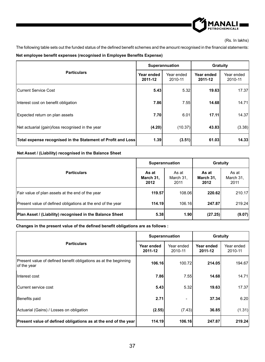

The following table sets out the funded status of the defined benefit schemes and the amount recognised in the financial statements:

**Net employee benefit expenses (recognised in Employee Benefits Expense)** 

|                                                              | Superannuation        |                       | Gratuity              |                       |
|--------------------------------------------------------------|-----------------------|-----------------------|-----------------------|-----------------------|
| <b>Particulars</b>                                           | Year ended<br>2011-12 | Year ended<br>2010-11 | Year ended<br>2011-12 | Year ended<br>2010-11 |
| Current Service Cost                                         | 5.43                  | 5.32                  | 19.63                 | 17.37                 |
| Interest cost on benefit obligation                          | 7.86                  | 7.55                  | 14.68                 | 14.71                 |
| Expected return on plan assets                               | 7.70                  | 6.01                  | 17.11                 | 14.37                 |
| Net actuarial (gain)/loss recognised in the year             | (4.20)                | (10.37)               | 43.83                 | (3.38)                |
| Total expense recognised in the Statement of Profit and Loss | 1.39                  | (3.51)                | 61.03                 | 14.33                 |

#### **Net Asset / (Liability) recognised in the Balance Sheet**

|                                                             | Superannuation             |                            | Gratuity                   |                            |
|-------------------------------------------------------------|----------------------------|----------------------------|----------------------------|----------------------------|
| <b>Particulars</b>                                          | As at<br>March 31,<br>2012 | As at<br>March 31,<br>2011 | As at<br>March 31,<br>2012 | As at<br>March 31,<br>2011 |
| Fair value of plan assets at the end of the year            | 119.57                     | 108.06                     | 220.62                     | 210.17                     |
| Present value of defined obligations at the end of the year | 114.19                     | 106.16                     | 247.87                     | 219.24                     |
| Plan Asset / (Liability) recognised in the Balance Sheet    | 5.38                       | 1.90                       | (27.25)                    | (9.07)                     |

## Changes in the present value of the defined benefit obligations are as follows :

|                                                                                 | Superannuation        |                       | Gratuity              |                       |
|---------------------------------------------------------------------------------|-----------------------|-----------------------|-----------------------|-----------------------|
| <b>Particulars</b>                                                              | Year ended<br>2011-12 | Year ended<br>2010-11 | Year ended<br>2011-12 | Year ended<br>2010-11 |
| Present value of defined benefit obligations as at the beginning<br>of the year | 106.16                | 100.72                | 214.05                | 194.67                |
| Interest cost                                                                   | 7.86                  | 7.55                  | 14.68                 | 14.71                 |
| Current service cost                                                            | 5.43                  | 5.32                  | 19.63                 | 17.37                 |
| Benefits paid                                                                   | 2.71                  |                       | 37.34                 | 6.20                  |
| Actuarial (Gains) / Losses on obligation                                        | (2.55)                | (7.43)                | 36.85                 | (1.31)                |
| Present value of defined obligations as at the end of the year                  | 114.19                | 106.16                | 247.87                | 219.24                |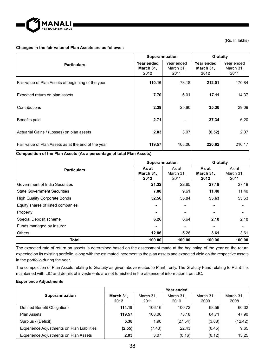

## **Changes in the fair value of Plan Assets are as follows :**

|                                                     | Superannuation                  |                                 | Gratuity                        |                                 |
|-----------------------------------------------------|---------------------------------|---------------------------------|---------------------------------|---------------------------------|
| <b>Particulars</b>                                  | Year ended<br>March 31,<br>2012 | Year ended<br>March 31,<br>2011 | Year ended<br>March 31,<br>2012 | Year ended<br>March 31,<br>2011 |
| Fair value of Plan Assets at beginning of the year  | 110.16                          | 73.18                           | 212.01                          | 170.84                          |
| Expected return on plan assets                      | 7.70                            | 6.01                            | 17.11                           | 14.37                           |
| <b>IContributions</b>                               | 2.39                            | 25.80                           | 35.36                           | 29.09                           |
| Benefits paid                                       | 2.71                            | ۰                               | 37.34                           | 6.20                            |
| Actuarial Gains / (Losses) on plan assets           | 2.03                            | 3.07                            | (6.52)                          | 2.07                            |
| Fair value of Plan Assets as at the end of the year | 119.57                          | 108.06                          | 220.62                          | 210.17                          |

## **Composition of the Plan Assets (As a percentage of total Plan Assets)**

|                                        | Superannuation             |                            | Gratuity                   |                            |
|----------------------------------------|----------------------------|----------------------------|----------------------------|----------------------------|
| <b>Particulars</b>                     | As at<br>March 31,<br>2012 | As at<br>March 31,<br>2011 | As at<br>March 31,<br>2012 | As at<br>March 31,<br>2011 |
| <b>IGovernment of India Securities</b> | 21.32                      | 22.65                      | 27.18                      | 27.18                      |
| <b>IState Government Securities</b>    | 7.00                       | 9.61                       | 11.40                      | 11.40                      |
| High Quality Corporate Bonds           | 52.56                      | 55.84                      | 55.63                      | 55.63                      |
| Equity shares of listed companies      |                            | ۰                          |                            | ۰                          |
| Property                               |                            | ۰                          | -                          | ۰                          |
| Special Deposit scheme                 | 6.26                       | 6.64                       | 2.18                       | 2.18                       |
| Funds managed by Insurer               |                            | ۰                          |                            | ۰                          |
| <b>I</b> Others                        | 12.86                      | 5.26                       | 3.61                       | 3.61                       |
| Total                                  | 100.00                     | 100.00                     | 100.00                     | 100.00                     |

The expected rate of return on assets is determined based on the assessment made at the beginning of the year on the return expected on its existing portfolio, along with the estimated increment to the plan assets and expected yield on the respective assets in the portfolio during the year.

The composition of Plan Assets relating to Gratuity as given above relates to Plant I only. The Gratuity Fund relating to Plant II is maintained with LIC and details of investments are not furnished in the absence of information from LIC.

## **Experience Adjustments**

|                                                   | Year ended        |                   |                   |                   |                   |  |
|---------------------------------------------------|-------------------|-------------------|-------------------|-------------------|-------------------|--|
| Superannuation                                    | March 31.<br>2012 | March 31.<br>2011 | March 31.<br>2010 | March 31.<br>2009 | March 31.<br>2008 |  |
| Defined Benefit Obligations                       | 114.19            | 106.16            | 100.72            | 68.59             | 60.32             |  |
| <b>Plan Assets</b>                                | 119.57            | 108.06            | 73.18             | 64.71             | 47.90             |  |
| Surplus / (Deficit)                               | 5.38              | 1.90 <sub>l</sub> | (27.54)           | (3.88)            | (12.42)           |  |
| <b>Experience Adjustments on Plan Liabilities</b> | (2.55)            | (7.43)            | 22.43             | (0.45)            | 9.65              |  |
| <b>Experience Adjustments on Plan Assets</b>      | 2.03              | 3.07              | (0.16)            | (0.12)            | 13.25             |  |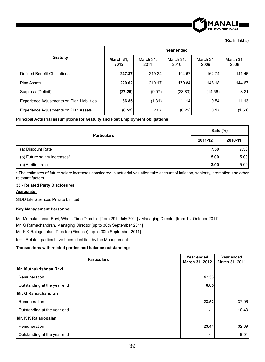

|                                                   | Year ended        |                   |                   |                   |                   |  |
|---------------------------------------------------|-------------------|-------------------|-------------------|-------------------|-------------------|--|
| Gratuity                                          | March 31,<br>2012 | March 31,<br>2011 | March 31.<br>2010 | March 31,<br>2009 | March 31,<br>2008 |  |
| Defined Benefit Obligations                       | 247.87            | 219.24            | 194.67            | 162.74            | 141.46            |  |
| <b>Plan Assets</b>                                | 220.62            | 210.17            | 170.84            | 148.18            | 144.67            |  |
| Surplus / (Deficit)                               | (27.25)           | (9.07)            | (23.83)           | (14.56)           | 3.21              |  |
| <b>Experience Adjustments on Plan Liabilities</b> | 36.85             | (1.31)            | 11.14             | 9.54              | 11.13             |  |
| <b>Experience Adjustments on Plan Assets</b>      | (6.52)            | 2.07              | (0.25)            | 0.17              | (1.63)            |  |

#### **Principal Actuarial assumptions for Gratuity and Post Employment obligations**

| <b>Particulars</b>           | <b>Rate (%)</b> |         |
|------------------------------|-----------------|---------|
|                              | 2011-12         | 2010-11 |
| (a) Discount Rate            | 7.50            | 7.50    |
| (b) Future salary increases* | 5.00            | 5.00    |
| (c) Attrition rate           | 3.00            | 5.00    |

\* The estimates of future salary increases considered in actuarial valuation take account of inflation, seniority, promotion and other relevant factors.

## **33 - Related Party Disclosures**

#### **Associate:**

SIDD Life Sciences Private Limited

## **Key Management Personnel:**

Mr. Muthukrishnan Ravi, Whole Time Director [from 29th July 2011] / Managing Director [from 1st October 2011]

Mr. G Ramachandran, Managing Director [up to 30th September 2011]

Mr. K K Rajagopalan, Director (Finance) [up to 30th September 2011]

Note: Related parties have been identified by the Management.

## **Transactions with related parties and balance outstanding:**

| <b>Particulars</b>          | Year ended<br>March 31, 2012 | Year ended<br>March 31, 2011 |
|-----------------------------|------------------------------|------------------------------|
| Mr. Muthukrishnan Ravi      |                              |                              |
| Remuneration                | 47.33                        |                              |
| Outstanding at the year end | 6.85                         |                              |
| Mr. G Ramachandran          |                              |                              |
| Remuneration                | 23.52                        | 37.06                        |
| Outstanding at the year end |                              | 10.43                        |
| Mr. K K Rajagopalan         |                              |                              |
| Remuneration                | 23.44                        | 32.69                        |
| Outstanding at the year end | ٠                            | 9.01                         |